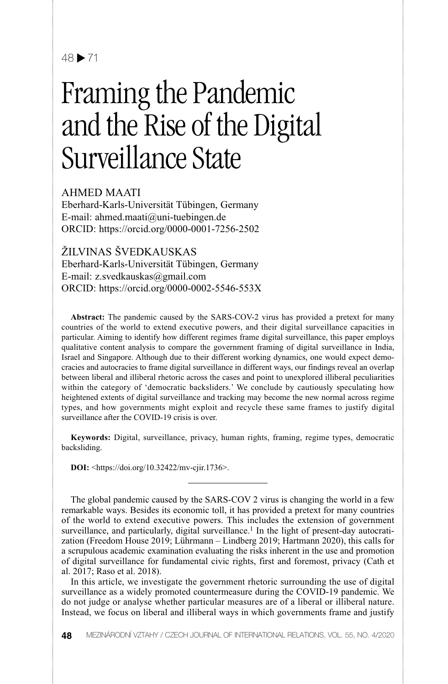## $48 \triangleright 71$

# Framing the Pandemic and the Rise of the Digital Surveillance State

AHMED MAATI

Eberhard-Karls-Universität Tübingen, Germany E-mail: ahmed.maati@uni-tuebingen.de ORCID: https://orcid.org/0000-0001-7256-2502

ŽILVINAS ŠVEDKAUSKAS

Eberhard-Karls-Universität Tübingen, Germany E-mail: z.svedkauskas@gmail.com ORCID: https://orcid.org/0000-0002-5546-553X

**Abstract:** The pandemic caused by the SARS-COV-2 virus has provided a pretext for many countries of the world to extend executive powers, and their digital surveillance capacities in particular. Aiming to identify how different regimes frame digital surveillance, this paper employs qualitative content analysis to compare the government framing of digital surveillance in India, Israel and Singapore. Although due to their different working dynamics, one would expect democracies and autocracies to frame digital surveillance in different ways, our findings reveal an overlap between liberal and illiberal rhetoric across the cases and point to unexplored illiberal peculiarities within the category of 'democratic backsliders.' We conclude by cautiously speculating how heightened extents of digital surveillance and tracking may become the new normal across regime types, and how governments might exploit and recycle these same frames to justify digital surveillance after the COVID-19 crisis is over.

**Keywords:** Digital, surveillance, privacy, human rights, framing, regime types, democratic backsliding.

**DOI:** <https://doi.org/10.32422/mv-cjir.1736>.

The global pandemic caused by the SARS-COV 2 virus is changing the world in a few remarkable ways. Besides its economic toll, it has provided a pretext for many countries of the world to extend executive powers. This includes the extension of government surveillance, and particularly, digital surveillance.<sup>1</sup> In the light of present-day autocratization (Freedom House 2019; Lührmann – Lindberg 2019; Hartmann 2020), this calls for a scrupulous academic examination evaluating the risks inherent in the use and promotion of digital surveillance for fundamental civic rights, first and foremost, privacy (Cath et al. 2017; Raso et al. 2018).

In this article, we investigate the government rhetoric surrounding the use of digital surveillance as a widely promoted countermeasure during the COVID-19 pandemic. We do not judge or analyse whether particular measures are of a liberal or illiberal nature. Instead, we focus on liberal and illiberal ways in which governments frame and justify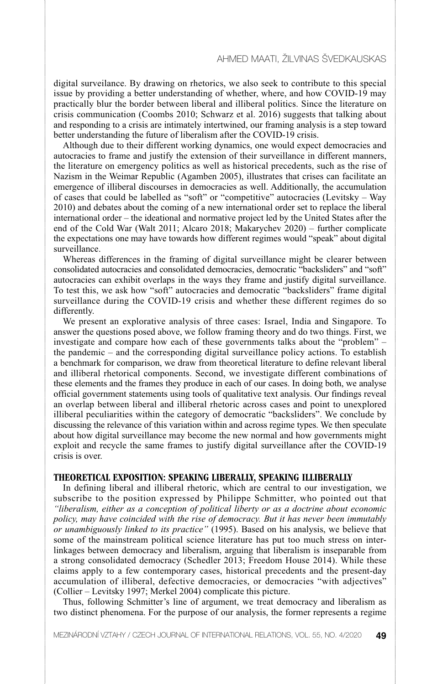digital surveilance. By drawing on rhetorics, we also seek to contribute to this special issue by providing a better understanding of whether, where, and how COVID-19 may practically blur the border between liberal and illiberal politics. Since the literature on crisis communication (Coombs 2010; Schwarz et al. 2016) suggests that talking about and responding to a crisis are intimately intertwined, our framing analysis is a step toward better understanding the future of liberalism after the COVID-19 crisis.

Although due to their different working dynamics, one would expect democracies and autocracies to frame and justify the extension of their surveillance in different manners, the literature on emergency politics as well as historical precedents, such as the rise of Nazism in the Weimar Republic (Agamben 2005), illustrates that crises can facilitate an emergence of illiberal discourses in democracies as well. Additionally, the accumulation of cases that could be labelled as "soft" or "competitive" autocracies (Levitsky – Way 2010) and debates about the coming of a new international order set to replace the liberal international order – the ideational and normative project led by the United States after the end of the Cold War (Walt 2011; Alcaro 2018; Makarychev 2020) – further complicate the expectations one may have towards how different regimes would "speak" about digital surveillance.

Whereas differences in the framing of digital surveillance might be clearer between consolidated autocracies and consolidated democracies, democratic "backsliders" and "soft" autocracies can exhibit overlaps in the ways they frame and justify digital surveillance. To test this, we ask how "soft" autocracies and democratic "backsliders" frame digital surveillance during the COVID-19 crisis and whether these different regimes do so differently.

We present an explorative analysis of three cases: Israel, India and Singapore. To answer the questions posed above, we follow framing theory and do two things. First, we investigate and compare how each of these governments talks about the "problem" – the pandemic – and the corresponding digital surveillance policy actions. To establish a benchmark for comparison, we draw from theoretical literature to define relevant liberal and illiberal rhetorical components. Second, we investigate different combinations of these elements and the frames they produce in each of our cases. In doing both, we analyse official government statements using tools of qualitative text analysis. Our findings reveal an overlap between liberal and illiberal rhetoric across cases and point to unexplored illiberal peculiarities within the category of democratic "backsliders". We conclude by discussing the relevance of this variation within and across regime types. We then speculate about how digital surveillance may become the new normal and how governments might exploit and recycle the same frames to justify digital surveillance after the COVID-19 crisis is over.

#### **THEORETICAL EXPOSITION: SPEAKING LIBERALLY, SPEAKING ILLIBERALLY**

In defining liberal and illiberal rhetoric, which are central to our investigation, we subscribe to the position expressed by Philippe Schmitter, who pointed out that *"liberalism, either as a conception of political liberty or as a doctrine about economic policy, may have coincided with the rise of democracy. But it has never been immutably or unambiguously linked to its practice"* (1995). Based on his analysis, we believe that some of the mainstream political science literature has put too much stress on interlinkages between democracy and liberalism, arguing that liberalism is inseparable from a strong consolidated democracy (Schedler 2013; Freedom House 2014). While these claims apply to a few contemporary cases, historical precedents and the present-day accumulation of illiberal, defective democracies, or democracies "with adjectives" (Collier – Levitsky 1997; Merkel 2004) complicate this picture.

Thus, following Schmitter's line of argument, we treat democracy and liberalism as two distinct phenomena. For the purpose of our analysis, the former represents a regime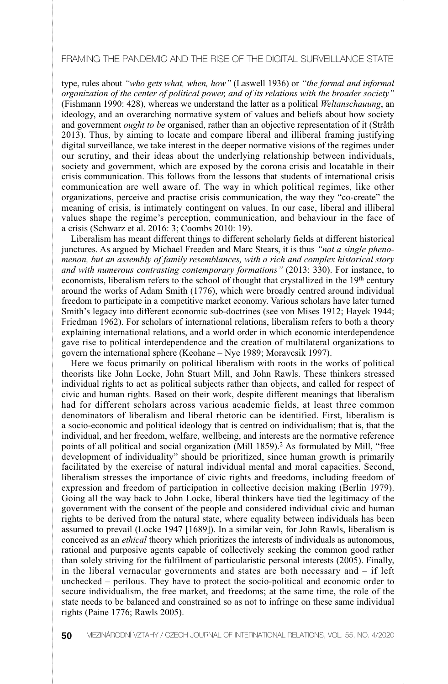type, rules about *"who gets what, when, how"* (Laswell 1936) or *"the formal and informal organization of the center of political power, and of its relations with the broader society"* (Fishmann 1990: 428), whereas we understand the latter as a political *Weltanschauung*, an ideology, and an overarching normative system of values and beliefs about how society and government *ought to be* organised, rather than an objective representation of it (Stråth 2013). Thus, by aiming to locate and compare liberal and illiberal framing justifying digital surveillance, we take interest in the deeper normative visions of the regimes under our scrutiny, and their ideas about the underlying relationship between individuals, society and government, which are exposed by the corona crisis and locatable in their crisis communication. This follows from the lessons that students of international crisis communication are well aware of. The way in which political regimes, like other organizations, perceive and practise crisis communication, the way they "co-create" the meaning of crisis, is intimately contingent on values. In our case, liberal and illiberal values shape the regime's perception, communication, and behaviour in the face of a crisis (Schwarz et al. 2016: 3; Coombs 2010: 19).

Liberalism has meant different things to different scholarly fields at different historical junctures. As argued by Michael Freeden and Marc Stears, it is thus *"not a single phenomenon, but an assembly of family resemblances, with a rich and complex historical story and with numerous contrasting contemporary formations"* (2013: 330). For instance, to economists, liberalism refers to the school of thought that crystallized in the 19<sup>th</sup> century around the works of Adam Smith (1776), which were broadly centred around individual freedom to participate in a competitive market economy. Various scholars have later turned Smith's legacy into different economic sub-doctrines (see von Mises 1912; Hayek 1944; Friedman 1962). For scholars of international relations, liberalism refers to both a theory explaining international relations, and a world order in which economic interdependence gave rise to political interdependence and the creation of multilateral organizations to govern the international sphere (Keohane – Nye 1989; Moravcsik 1997).

Here we focus primarily on political liberalism with roots in the works of political theorists like John Locke, John Stuart Mill, and John Rawls. These thinkers stressed individual rights to act as political subjects rather than objects, and called for respect of civic and human rights. Based on their work, despite different meanings that liberalism had for different scholars across various academic fields, at least three common denominators of liberalism and liberal rhetoric can be identified. First, liberalism is a socio-economic and political ideology that is centred on individualism; that is, that the individual, and her freedom, welfare, wellbeing, and interests are the normative reference points of all political and social organization (Mill 1859).<sup>2</sup> As formulated by Mill, "free development of individuality" should be prioritized, since human growth is primarily facilitated by the exercise of natural individual mental and moral capacities. Second, liberalism stresses the importance of civic rights and freedoms, including freedom of expression and freedom of participation in collective decision making (Berlin 1979). Going all the way back to John Locke, liberal thinkers have tied the legitimacy of the government with the consent of the people and considered individual civic and human rights to be derived from the natural state, where equality between individuals has been assumed to prevail (Locke 1947 [1689]). In a similar vein, for John Rawls, liberalism is conceived as an *ethical* theory which prioritizes the interests of individuals as autonomous, rational and purposive agents capable of collectively seeking the common good rather than solely striving for the fulfilment of particularistic personal interests (2005). Finally, in the liberal vernacular governments and states are both necessary and – if left unchecked – perilous. They have to protect the socio-political and economic order to secure individualism, the free market, and freedoms; at the same time, the role of the state needs to be balanced and constrained so as not to infringe on these same individual rights (Paine 1776; Rawls 2005).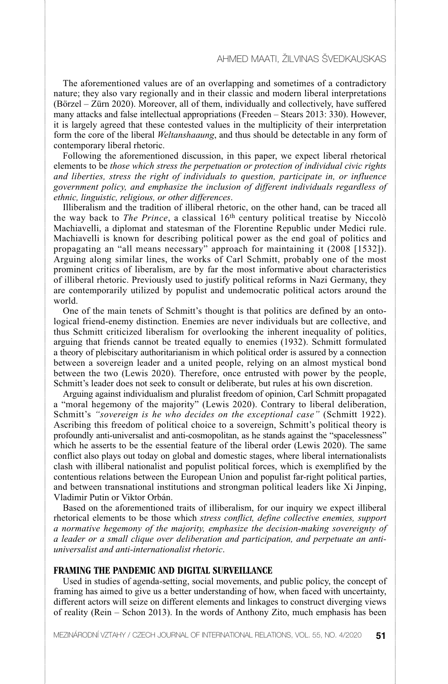The aforementioned values are of an overlapping and sometimes of a contradictory nature; they also vary regionally and in their classic and modern liberal interpretations (Börzel – Zürn 2020). Moreover, all of them, individually and collectively, have suffered many attacks and false intellectual appropriations (Freeden – Stears 2013: 330). However, it is largely agreed that these contested values in the multiplicity of their interpretation form the core of the liberal *Weltanshaaung*, and thus should be detectable in any form of contemporary liberal rhetoric.

Following the aforementioned discussion, in this paper, we expect liberal rhetorical elements to be *those which stress the perpetuation or protection of individual civic rights and liberties, stress the right of individuals to question, participate in, or influence government policy, and emphasize the inclusion of different individuals regardless of ethnic, linguistic, religious, or other differences*.

Illiberalism and the tradition of illiberal rhetoric, on the other hand, can be traced all the way back to *The Prince*, a classical 16th century political treatise by Niccolò Machiavelli, a diplomat and statesman of the Florentine Republic under Medici rule. Machiavelli is known for describing political power as the end goal of politics and propagating an "all means necessary" approach for maintaining it (2008 [1532]). Arguing along similar lines, the works of Carl Schmitt, probably one of the most prominent critics of liberalism, are by far the most informative about characteristics of illiberal rhetoric. Previously used to justify political reforms in Nazi Germany, they are contemporarily utilized by populist and undemocratic political actors around the world.

One of the main tenets of Schmitt's thought is that politics are defined by an ontological friend-enemy distinction. Enemies are never individuals but are collective, and thus Schmitt criticized liberalism for overlooking the inherent inequality of politics, arguing that friends cannot be treated equally to enemies (1932). Schmitt formulated a theory of plebiscitary authoritarianism in which political order is assured by a connection between a sovereign leader and a united people, relying on an almost mystical bond between the two (Lewis 2020). Therefore, once entrusted with power by the people, Schmitt's leader does not seek to consult or deliberate, but rules at his own discretion.

Arguing against individualism and pluralist freedom of opinion, Carl Schmitt propagated a "moral hegemony of the majority" (Lewis 2020). Contrary to liberal deliberation, Schmitt's *"sovereign is he who decides on the exceptional case"* (Schmitt 1922). Ascribing this freedom of political choice to a sovereign, Schmitt's political theory is profoundly anti-universalist and anti-cosmopolitan, as he stands against the "spacelessness" which he asserts to be the essential feature of the liberal order (Lewis 2020). The same conflict also plays out today on global and domestic stages, where liberal internationalists clash with illiberal nationalist and populist political forces, which is exemplified by the contentious relations between the European Union and populist far-right political parties, and between transnational institutions and strongman political leaders like Xi Jinping, Vladimir Putin or Viktor Orbán.

Based on the aforementioned traits of illiberalism, for our inquiry we expect illiberal rhetorical elements to be those which *stress conflict, define collective enemies, support a normative hegemony of the majority, emphasize the decision-making sovereignty of a leader or a small clique over deliberation and participation, and perpetuate an antiuniversalist and anti-internationalist rhetoric*.

#### **FRAMING THE PANDEMIC AND DIGITAL SURVEILLANCE**

Used in studies of agenda-setting, social movements, and public policy, the concept of framing has aimed to give us a better understanding of how, when faced with uncertainty, different actors will seize on different elements and linkages to construct diverging views of reality (Rein – Schon 2013). In the words of Anthony Zito, much emphasis has been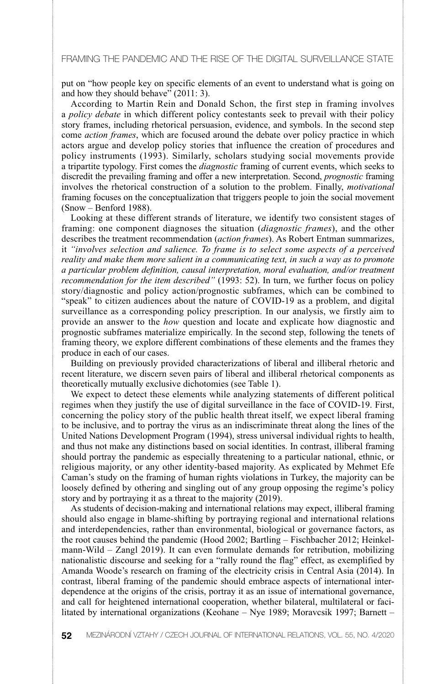put on "how people key on specific elements of an event to understand what is going on and how they should behave" (2011: 3).

According to Martin Rein and Donald Schon, the first step in framing involves a *policy debate* in which different policy contestants seek to prevail with their policy story frames, including rhetorical persuasion, evidence, and symbols. In the second step come *action frames*, which are focused around the debate over policy practice in which actors argue and develop policy stories that influence the creation of procedures and policy instruments (1993). Similarly, scholars studying social movements provide a tripartite typology. First comes the *diagnostic* framing of current events, which seeks to discredit the prevailing framing and offer a new interpretation. Second, *prognostic* framing involves the rhetorical construction of a solution to the problem. Finally, *motivational* framing focuses on the conceptualization that triggers people to join the social movement (Snow – Benford 1988).

Looking at these different strands of literature, we identify two consistent stages of framing: one component diagnoses the situation (*diagnostic frames*), and the other describes the treatment recommendation (*action frames*). As Robert Entman summarizes, it *"involves selection and salience. To frame is to select some aspects of a perceived reality and make them more salient in a communicating text, in such a way as to promote a particular problem definition, causal interpretation, moral evaluation, and/or treatment recommendation for the item described"* (1993: 52). In turn, we further focus on policy story/diagnostic and policy action/prognostic subframes, which can be combined to "speak" to citizen audiences about the nature of COVID-19 as a problem, and digital surveillance as a corresponding policy prescription. In our analysis, we firstly aim to provide an answer to the *how* question and locate and explicate how diagnostic and prognostic subframes materialize empirically. In the second step, following the tenets of framing theory, we explore different combinations of these elements and the frames they produce in each of our cases.

Building on previously provided characterizations of liberal and illiberal rhetoric and recent literature, we discern seven pairs of liberal and illiberal rhetorical components as theoretically mutually exclusive dichotomies (see Table 1).

We expect to detect these elements while analyzing statements of different political regimes when they justify the use of digital surveillance in the face of COVID-19. First, concerning the policy story of the public health threat itself, we expect liberal framing to be inclusive, and to portray the virus as an indiscriminate threat along the lines of the United Nations Development Program (1994), stress universal individual rights to health, and thus not make any distinctions based on social identities. In contrast, illiberal framing should portray the pandemic as especially threatening to a particular national, ethnic, or religious majority, or any other identity-based majority. As explicated by Mehmet Efe Caman's study on the framing of human rights violations in Turkey, the majority can be loosely defined by othering and singling out of any group opposing the regime's policy story and by portraying it as a threat to the majority (2019).

As students of decision-making and international relations may expect, illiberal framing should also engage in blame-shifting by portraying regional and international relations and interdependencies, rather than environmental, biological or governance factors, as the root causes behind the pandemic (Hood 2002; Bartling – Fischbacher 2012; Heinkelmann-Wild – Zangl 2019). It can even formulate demands for retribution, mobilizing nationalistic discourse and seeking for a "rally round the flag" effect, as exemplified by Amanda Woode's research on framing of the electricity crisis in Central Asia (2014). In contrast, liberal framing of the pandemic should embrace aspects of international interdependence at the origins of the crisis, portray it as an issue of international governance, and call for heightened international cooperation, whether bilateral, multilateral or facilitated by international organizations (Keohane – Nye 1989; Moravcsik 1997; Barnett –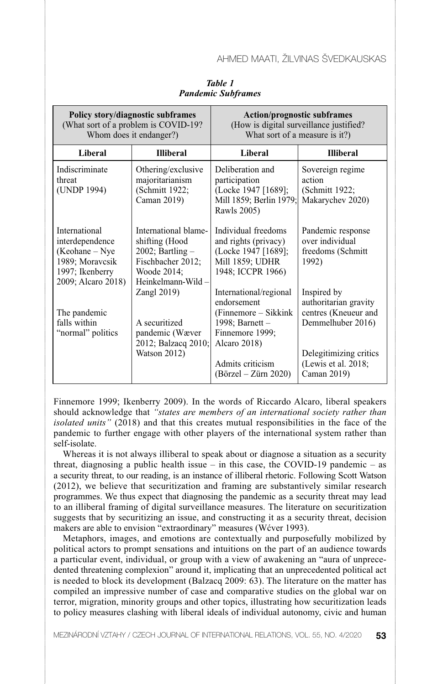| Policy story/diagnostic subframes<br>(What sort of a problem is COVID-19?)<br>Whom does it endanger?)             |                                                                                                                           | <b>Action/prognostic subframes</b><br>(How is digital surveillance justified?<br>What sort of a measure is it?)        |                                                                                   |
|-------------------------------------------------------------------------------------------------------------------|---------------------------------------------------------------------------------------------------------------------------|------------------------------------------------------------------------------------------------------------------------|-----------------------------------------------------------------------------------|
| <b>Liberal</b>                                                                                                    | <b>Illiberal</b>                                                                                                          | Liberal                                                                                                                | <b>Illiberal</b>                                                                  |
| Indiscriminate<br>threat<br>(UNDP 1994)                                                                           | Othering/exclusive<br>majoritarianism<br>(Schmitt 1922;<br>Caman 2019)                                                    | Deliberation and<br>participation<br>(Locke 1947 [1689];<br>Mill 1859; Berlin 1979;<br>Rawls 2005)                     | Sovereign regime<br>action<br>(Schmitt 1922;<br>Makarychev 2020)                  |
| International<br>interdependence<br>$(Keohane - Nye)$<br>1989; Moravcsik<br>1997; Ikenberry<br>2009; Alcaro 2018) | International blame-<br>shifting (Hood<br>$2002$ ; Bartling $-$<br>Fischbacher 2012;<br>Woode 2014;<br>Heinkelmann-Wild - | Individual freedoms<br>and rights (privacy)<br>(Locke 1947 [1689];<br>Mill 1859; UDHR<br>1948; ICCPR 1966)             | Pandemic response<br>over individual<br>freedoms (Schmitt<br>1992)                |
| The pandemic<br>falls within<br>"normal" politics                                                                 | Zangl 2019)<br>A securitized<br>pandemic (Wæver<br>2012; Balzacq 2010;                                                    | International/regional<br>endorsement<br>(Finnemore – Sikkink)<br>1998; Barnett $-$<br>Finnemore 1999;<br>Alcaro 2018) | Inspired by<br>authoritarian gravity<br>centres (Kneueur and<br>Demmelhuber 2016) |
|                                                                                                                   | Watson 2012)                                                                                                              | Admits criticism<br>$(Börzel - Zürn 2020)$                                                                             | Delegitimizing critics<br>(Lewis et al. 2018;<br>Caman 2019)                      |

*Table 1 Pandemic Subframes*

Finnemore 1999; Ikenberry 2009). In the words of Riccardo Alcaro, liberal speakers should acknowledge that *"states are members of an international society rather than isolated units"* (2018) and that this creates mutual responsibilities in the face of the pandemic to further engage with other players of the international system rather than self-isolate.

Whereas it is not always illiberal to speak about or diagnose a situation as a security threat, diagnosing a public health issue – in this case, the COVID-19 pandemic – as a security threat, to our reading, is an instance of illiberal rhetoric. Following Scott Watson (2012), we believe that securitization and framing are substantively similar research programmes. We thus expect that diagnosing the pandemic as a security threat may lead to an illiberal framing of digital surveillance measures. The literature on securitization suggests that by securitizing an issue, and constructing it as a security threat, decision makers are able to envision "extraordinary" measures (Wćver 1993).

Metaphors, images, and emotions are contextually and purposefully mobilized by political actors to prompt sensations and intuitions on the part of an audience towards a particular event, individual, or group with a view of awakening an "aura of unprecedented threatening complexion" around it, implicating that an unprecedented political act is needed to block its development (Balzacq 2009: 63). The literature on the matter has compiled an impressive number of case and comparative studies on the global war on terror, migration, minority groups and other topics, illustrating how securitization leads to policy measures clashing with liberal ideals of individual autonomy, civic and human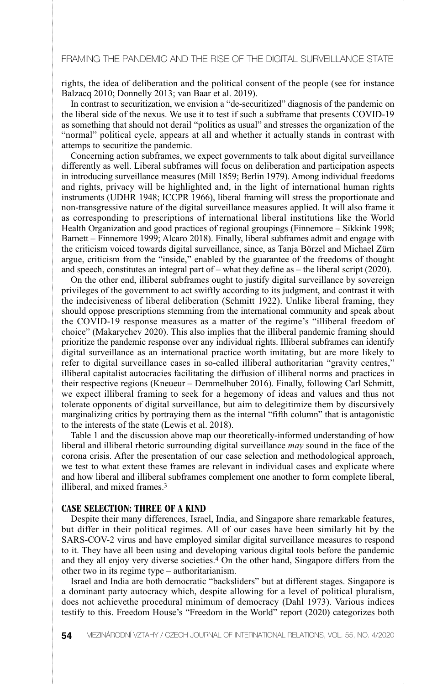rights, the idea of deliberation and the political consent of the people (see for instance Balzacq 2010; Donnelly 2013; van Baar et al. 2019).

In contrast to securitization, we envision a "de-securitized" diagnosis of the pandemic on the liberal side of the nexus. We use it to test if such a subframe that presents COVID-19 as something that should not derail "politics as usual" and stresses the organization of the "normal" political cycle, appears at all and whether it actually stands in contrast with attemps to securitize the pandemic.

Concerning action subframes, we expect governments to talk about digital surveillance differently as well. Liberal subframes will focus on deliberation and participation aspects in introducing surveillance measures (Mill 1859; Berlin 1979). Among individual freedoms and rights, privacy will be highlighted and, in the light of international human rights instruments (UDHR 1948; ICCPR 1966), liberal framing will stress the proportionate and non-transgressive nature of the digital surveillance measures applied. It will also frame it as corresponding to prescriptions of international liberal institutions like the World Health Organization and good practices of regional groupings (Finnemore – Sikkink 1998; Barnett – Finnemore 1999; Alcaro 2018). Finally, liberal subframes admit and engage with the criticism voiced towards digital surveillance, since, as Tanja Börzel and Michael Zürn argue, criticism from the "inside," enabled by the guarantee of the freedoms of thought and speech, constitutes an integral part of – what they define as – the liberal script (2020).

On the other end, illiberal subframes ought to justify digital surveillance by sovereign privileges of the government to act swiftly according to its judgment, and contrast it with the indecisiveness of liberal deliberation (Schmitt 1922). Unlike liberal framing, they should oppose prescriptions stemming from the international community and speak about the COVID-19 response measures as a matter of the regime's "illiberal freedom of choice" (Makarychev 2020). This also implies that the illiberal pandemic framing should prioritize the pandemic response over any individual rights. Illiberal subframes can identify digital surveillance as an international practice worth imitating, but are more likely to refer to digital surveillance cases in so-called illiberal authoritarian "gravity centres," illiberal capitalist autocracies facilitating the diffusion of illiberal norms and practices in their respective regions (Kneueur – Demmelhuber 2016). Finally, following Carl Schmitt, we expect illiberal framing to seek for a hegemony of ideas and values and thus not tolerate opponents of digital surveillance, but aim to delegitimize them by discursively marginalizing critics by portraying them as the internal "fifth column" that is antagonistic to the interests of the state (Lewis et al. 2018).

Table 1 and the discussion above map our theoretically-informed understanding of how liberal and illiberal rhetoric surrounding digital surveillance *may* sound in the face of the corona crisis. After the presentation of our case selection and methodological approach, we test to what extent these frames are relevant in individual cases and explicate where and how liberal and illiberal subframes complement one another to form complete liberal, illiberal, and mixed frames.3

#### **CASE SELECTION: THREE OF A KIND**

Despite their many differences, Israel, India, and Singapore share remarkable features, but differ in their political regimes. All of our cases have been similarly hit by the SARS-COV-2 virus and have employed similar digital surveillance measures to respond to it. They have all been using and developing various digital tools before the pandemic and they all enjoy very diverse societies.4 On the other hand, Singapore differs from the other two in its regime type – authoritarianism.

Israel and India are both democratic "backsliders" but at different stages. Singapore is a dominant party autocracy which, despite allowing for a level of political pluralism, does not achievethe procedural minimum of democracy (Dahl 1973). Various indices testify to this. Freedom House's "Freedom in the World" report (2020) categorizes both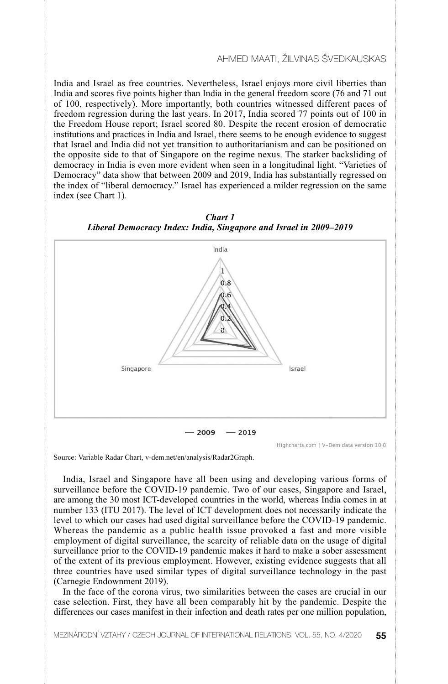India and Israel as free countries. Nevertheless, Israel enjoys more civil liberties than India and scores five points higher than India in the general freedom score (76 and 71 out of 100, respectively). More importantly, both countries witnessed different paces of freedom regression during the last years. In 2017, India scored 77 points out of 100 in the Freedom House report; Israel scored 80. Despite the recent erosion of democratic institutions and practices in India and Israel, there seems to be enough evidence to suggest that Israel and India did not yet transition to authoritarianism and can be positioned on the opposite side to that of Singapore on the regime nexus. The starker backsliding of democracy in India is even more evident when seen in a longitudinal light. "Varieties of Democracy" data show that between 2009 and 2019, India has substantially regressed on the index of "liberal democracy." Israel has experienced a milder regression on the same index (see Chart 1).





Source: Variable Radar Chart, v-dem.net/en/analysis/Radar2Graph.

India, Israel and Singapore have all been using and developing various forms of surveillance before the COVID-19 pandemic. Two of our cases, Singapore and Israel, are among the 30 most ICT-developed countries in the world, whereas India comes in at number 133 (ITU 2017). The level of ICT development does not necessarily indicate the level to which our cases had used digital surveillance before the COVID-19 pandemic. Whereas the pandemic as a public health issue provoked a fast and more visible employment of digital surveillance, the scarcity of reliable data on the usage of digital surveillance prior to the COVID-19 pandemic makes it hard to make a sober assessment of the extent of its previous employment. However, existing evidence suggests that all three countries have used similar types of digital surveillance technology in the past (Carnegie Endownment 2019).

In the face of the corona virus, two similarities between the cases are crucial in our case selection. First, they have all been comparably hit by the pandemic. Despite the differences our cases manifest in their infection and death rates per one million population,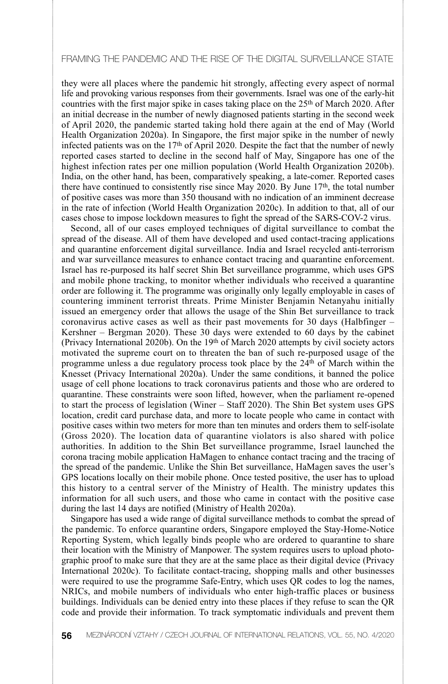they were all places where the pandemic hit strongly, affecting every aspect of normal life and provoking various responses from their governments. Israel was one of the early-hit countries with the first major spike in cases taking place on the  $25<sup>th</sup>$  of March 2020. After an initial decrease in the number of newly diagnosed patients starting in the second week of April 2020, the pandemic started taking hold there again at the end of May (World Health Organization 2020a). In Singapore, the first major spike in the number of newly infected patients was on the 17th of April 2020. Despite the fact that the number of newly reported cases started to decline in the second half of May, Singapore has one of the highest infection rates per one million population (World Health Organization 2020b). India, on the other hand, has been, comparatively speaking, a late-comer. Reported cases there have continued to consistently rise since May 2020. By June 17th, the total number of positive cases was more than 350 thousand with no indication of an imminent decrease in the rate of infection (World Health Organization 2020c). In addition to that, all of our cases chose to impose lockdown measures to fight the spread of the SARS-COV-2 virus.

Second, all of our cases employed techniques of digital surveillance to combat the spread of the disease. All of them have developed and used contact-tracing applications and quarantine enforcement digital surveillance. India and Israel recycled anti-terrorism and war surveillance measures to enhance contact tracing and quarantine enforcement. Israel has re-purposed its half secret Shin Bet surveillance programme, which uses GPS and mobile phone tracking, to monitor whether individuals who received a quarantine order are following it. The programme was originally only legally employable in cases of countering imminent terrorist threats. Prime Minister Benjamin Netanyahu initially issued an emergency order that allows the usage of the Shin Bet surveillance to track coronavirus active cases as well as their past movements for 30 days (Halbfinger  $-$ Kershner – Bergman 2020). These 30 days were extended to 60 days by the cabinet (Privacy International 2020b). On the 19th of March 2020 attempts by civil society actors motivated the supreme court on to threaten the ban of such re-purposed usage of the programme unless a due regulatory process took place by the 24th of March within the Knesset (Privacy International 2020a). Under the same conditions, it banned the police usage of cell phone locations to track coronavirus patients and those who are ordered to quarantine. These constraints were soon lifted, however, when the parliament re-opened to start the process of legislation (Winer – Staff 2020). The Shin Bet system uses GPS location, credit card purchase data, and more to locate people who came in contact with positive cases within two meters for more than ten minutes and orders them to self-isolate (Gross 2020). The location data of quarantine violators is also shared with police authorities. In addition to the Shin Bet surveillance programme, Israel launched the corona tracing mobile application HaMagen to enhance contact tracing and the tracing of the spread of the pandemic. Unlike the Shin Bet surveillance, HaMagen saves the user's GPS locations locally on their mobile phone. Once tested positive, the user has to upload this history to a central server of the Ministry of Health. The ministry updates this information for all such users, and those who came in contact with the positive case during the last 14 days are notified (Ministry of Health 2020a).

Singapore has used a wide range of digital surveillance methods to combat the spread of the pandemic. To enforce quarantine orders, Singapore employed the Stay-Home-Notice Reporting System, which legally binds people who are ordered to quarantine to share their location with the Ministry of Manpower. The system requires users to upload photographic proof to make sure that they are at the same place as their digital device (Privacy International 2020c). To facilitate contact-tracing, shopping malls and other businesses were required to use the programme Safe-Entry, which uses QR codes to log the names, NRICs, and mobile numbers of individuals who enter high-traffic places or business buildings. Individuals can be denied entry into these places if they refuse to scan the QR code and provide their information. To track symptomatic individuals and prevent them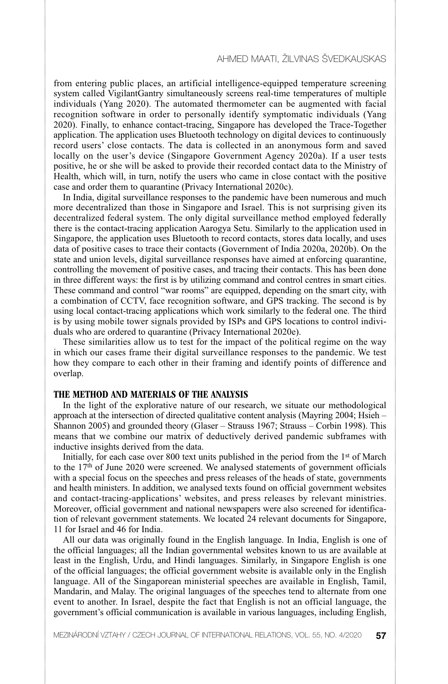from entering public places, an artificial intelligence-equipped temperature screening system called VigilantGantry simultaneously screens real-time temperatures of multiple individuals (Yang 2020). The automated thermometer can be augmented with facial recognition software in order to personally identify symptomatic individuals (Yang 2020). Finally, to enhance contact-tracing, Singapore has developed the Trace-Together application. The application uses Bluetooth technology on digital devices to continuously record users' close contacts. The data is collected in an anonymous form and saved locally on the user's device (Singapore Government Agency 2020a). If a user tests positive, he or she will be asked to provide their recorded contact data to the Ministry of Health, which will, in turn, notify the users who came in close contact with the positive case and order them to quarantine (Privacy International 2020c).

In India, digital surveillance responses to the pandemic have been numerous and much more decentralized than those in Singapore and Israel. This is not surprising given its decentralized federal system. The only digital surveillance method employed federally there is the contact-tracing application Aarogya Setu. Similarly to the application used in Singapore, the application uses Bluetooth to record contacts, stores data locally, and uses data of positive cases to trace their contacts (Government of India 2020a, 2020b). On the state and union levels, digital surveillance responses have aimed at enforcing quarantine, controlling the movement of positive cases, and tracing their contacts. This has been done in three different ways: the first is by utilizing command and control centres in smart cities. These command and control "war rooms" are equipped, depending on the smart city, with a combination of CCTV, face recognition software, and GPS tracking. The second is by using local contact-tracing applications which work similarly to the federal one. The third is by using mobile tower signals provided by ISPs and GPS locations to control individuals who are ordered to quarantine (Privacy International 2020e).

These similarities allow us to test for the impact of the political regime on the way in which our cases frame their digital surveillance responses to the pandemic. We test how they compare to each other in their framing and identify points of difference and overlap.

#### **THE METHOD AND MATERIALS OF THE ANALYSIS**

In the light of the explorative nature of our research, we situate our methodological approach at the intersection of directed qualitative content analysis (Mayring 2004; Hsieh – Shannon 2005) and grounded theory (Glaser – Strauss 1967; Strauss – Corbin 1998). This means that we combine our matrix of deductively derived pandemic subframes with inductive insights derived from the data.

Initially, for each case over 800 text units published in the period from the 1st of March to the  $17<sup>th</sup>$  of June 2020 were screened. We analysed statements of government officials with a special focus on the speeches and press releases of the heads of state, governments and health ministers. In addition, we analysed texts found on official government websites and contact-tracing-applications' websites, and press releases by relevant ministries. Moreover, official government and national newspapers were also screened for identification of relevant government statements. We located 24 relevant documents for Singapore, 11 for Israel and 46 for India.

All our data was originally found in the English language. In India, English is one of the official languages; all the Indian governmental websites known to us are available at least in the English, Urdu, and Hindi languages. Similarly, in Singapore English is one of the official languages; the official government website is available only in the English language. All of the Singaporean ministerial speeches are available in English, Tamil, Mandarin, and Malay. The original languages of the speeches tend to alternate from one event to another. In Israel, despite the fact that English is not an official language, the government's official communication is available in various languages, including English,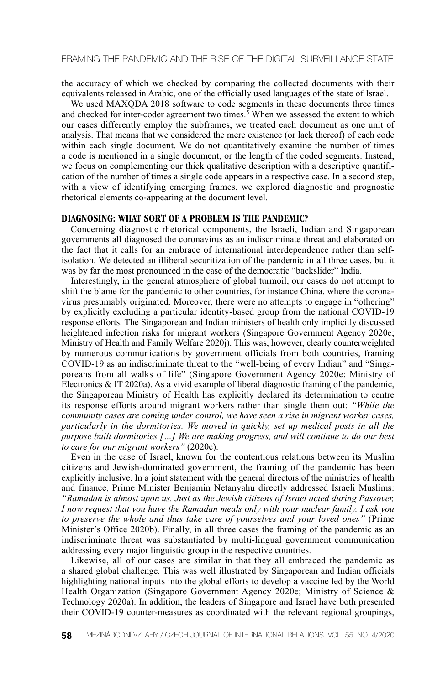the accuracy of which we checked by comparing the collected documents with their equivalents released in Arabic, one of the officially used languages of the state of Israel.

We used MAXQDA 2018 software to code segments in these documents three times and checked for inter-coder agreement two times.<sup>5</sup> When we assessed the extent to which our cases differently employ the subframes, we treated each document as one unit of analysis. That means that we considered the mere existence (or lack thereof) of each code within each single document. We do not quantitatively examine the number of times a code is mentioned in a single document, or the length of the coded segments. Instead, we focus on complementing our thick qualitative description with a descriptive quantification of the number of times a single code appears in a respective case. In a second step, with a view of identifying emerging frames, we explored diagnostic and prognostic rhetorical elements co-appearing at the document level.

#### **DIAGNOSING: WHAT SORT OF A PROBLEM IS THE PANDEMIC?**

Concerning diagnostic rhetorical components, the Israeli, Indian and Singaporean governments all diagnosed the coronavirus as an indiscriminate threat and elaborated on the fact that it calls for an embrace of international interdependence rather than selfisolation. We detected an illiberal securitization of the pandemic in all three cases, but it was by far the most pronounced in the case of the democratic "backslider" India.

Interestingly, in the general atmosphere of global turmoil, our cases do not attempt to shift the blame for the pandemic to other countries, for instance China, where the coronavirus presumably originated. Moreover, there were no attempts to engage in "othering" by explicitly excluding a particular identity-based group from the national COVID-19 response efforts. The Singaporean and Indian ministers of health only implicitly discussed heightened infection risks for migrant workers (Singapore Government Agency 2020e; Ministry of Health and Family Welfare 2020j). This was, however, clearly counterweighted by numerous communications by government officials from both countries, framing COVID-19 as an indiscriminate threat to the "well-being of every Indian" and "Singaporeans from all walks of life" (Singapore Government Agency 2020e; Ministry of Electronics & IT 2020a). As a vivid example of liberal diagnostic framing of the pandemic, the Singaporean Ministry of Health has explicitly declared its determination to centre its response efforts around migrant workers rather than single them out: *"While the community cases are coming under control, we have seen a rise in migrant worker cases, particularly in the dormitories. We moved in quickly, set up medical posts in all the purpose built dormitories […] We are making progress, and will continue to do our best to care for our migrant workers"* (2020c).

Even in the case of Israel, known for the contentious relations between its Muslim citizens and Jewish-dominated government, the framing of the pandemic has been explicitly inclusive. In a joint statement with the general directors of the ministries of health and finance, Prime Minister Benjamin Netanyahu directly addressed Israeli Muslims: *"Ramadan is almost upon us. Just as the Jewish citizens of Israel acted during Passover, I now request that you have the Ramadan meals only with your nuclear family. I ask you to preserve the whole and thus take care of yourselves and your loved ones"* (Prime Minister's Office 2020b). Finally, in all three cases the framing of the pandemic as an indiscriminate threat was substantiated by multi-lingual government communication addressing every major linguistic group in the respective countries.

Likewise, all of our cases are similar in that they all embraced the pandemic as a shared global challenge. This was well illustrated by Singaporean and Indian officials highlighting national inputs into the global efforts to develop a vaccine led by the World Health Organization (Singapore Government Agency 2020e; Ministry of Science & Technology 2020a). In addition, the leaders of Singapore and Israel have both presented their COVID-19 counter-measures as coordinated with the relevant regional groupings,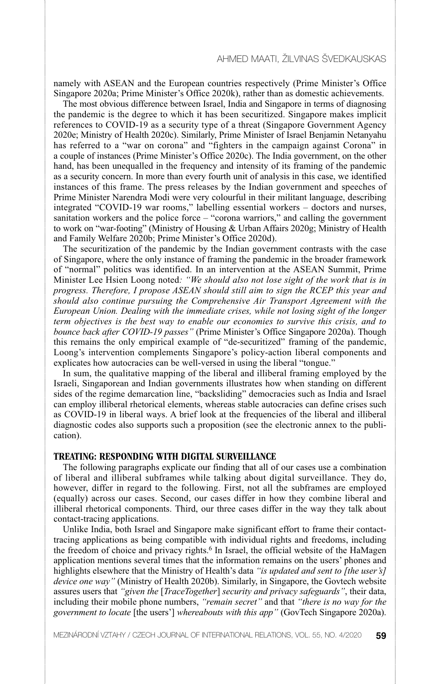namely with ASEAN and the European countries respectively (Prime Minister's Office Singapore 2020a; Prime Minister's Office 2020k), rather than as domestic achievements.

The most obvious difference between Israel, India and Singapore in terms of diagnosing the pandemic is the degree to which it has been securitized. Singapore makes implicit references to COVID-19 as a security type of a threat (Singapore Government Agency 2020e; Ministry of Health 2020c). Similarly, Prime Minister of Israel Benjamin Netanyahu has referred to a "war on corona" and "fighters in the campaign against Corona" in a couple of instances (Prime Minister's Office 2020c). The India government, on the other hand, has been unequalled in the frequency and intensity of its framing of the pandemic as a security concern. In more than every fourth unit of analysis in this case, we identified instances of this frame. The press releases by the Indian government and speeches of Prime Minister Narendra Modi were very colourful in their militant language, describing integrated "COVID-19 war rooms," labelling essential workers – doctors and nurses, sanitation workers and the police force – "corona warriors," and calling the government to work on "war-footing" (Ministry of Housing & Urban Affairs 2020g; Ministry of Health and Family Welfare 2020b; Prime Minister's Office 2020d).

The securitization of the pandemic by the Indian government contrasts with the case of Singapore, where the only instance of framing the pandemic in the broader framework of "normal" politics was identified. In an intervention at the ASEAN Summit, Prime Minister Lee Hsien Loong noted*: "We should also not lose sight of the work that is in progress. Therefore, I propose ASEAN should still aim to sign the RCEP this year and should also continue pursuing the Comprehensive Air Transport Agreement with the European Union. Dealing with the immediate crises, while not losing sight of the longer term objectives is the best way to enable our economies to survive this crisis, and to bounce back after COVID-19 passes"* (Prime Minister's Office Singapore 2020a). Though this remains the only empirical example of "de-securitized" framing of the pandemic, Loong's intervention complements Singapore's policy-action liberal components and explicates how autocracies can be well-versed in using the liberal "tongue."

In sum, the qualitative mapping of the liberal and illiberal framing employed by the Israeli, Singaporean and Indian governments illustrates how when standing on different sides of the regime demarcation line, "backsliding" democracies such as India and Israel can employ illiberal rhetorical elements, whereas stable autocracies can define crises such as COVID-19 in liberal ways. A brief look at the frequencies of the liberal and illiberal diagnostic codes also supports such a proposition (see the electronic annex to the publication).

#### **TREATING: RESPONDING WITH DIGITAL SURVEILLANCE**

The following paragraphs explicate our finding that all of our cases use a combination of liberal and illiberal subframes while talking about digital surveillance. They do, however, differ in regard to the following. First, not all the subframes are employed (equally) across our cases. Second, our cases differ in how they combine liberal and illiberal rhetorical components. Third, our three cases differ in the way they talk about contact-tracing applications.

Unlike India, both Israel and Singapore make significant effort to frame their contacttracing applications as being compatible with individual rights and freedoms, including the freedom of choice and privacy rights.<sup>6</sup> In Israel, the official website of the HaMagen application mentions several times that the information remains on the users' phones and highlights elsewhere that the Ministry of Health's data *"is updated and sent to [the user's] device one way"* (Ministry of Health 2020b). Similarly, in Singapore, the Govtech website assures users that *"given the* [*TraceTogether*] *security and privacy safeguards"*, their data, including their mobile phone numbers, *"remain secret"* and that *"there is no way for the government to locate* [the users'] *whereabouts with this app"* (GovTech Singapore 2020a).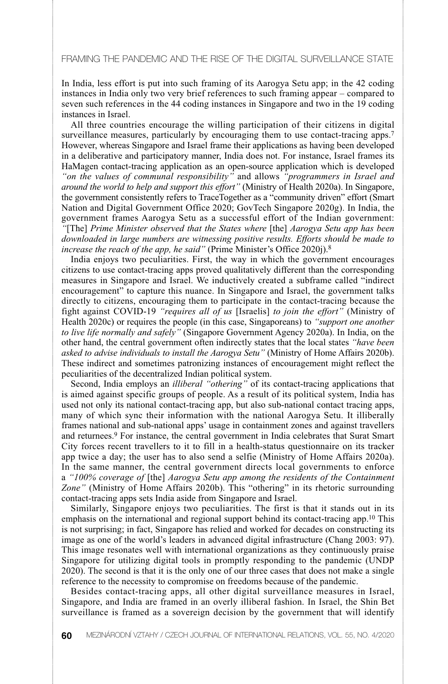In India, less effort is put into such framing of its Aarogya Setu app; in the 42 coding instances in India only two very brief references to such framing appear – compared to seven such references in the 44 coding instances in Singapore and two in the 19 coding instances in Israel.

All three countries encourage the willing participation of their citizens in digital surveillance measures, particularly by encouraging them to use contact-tracing apps.<sup>7</sup> However, whereas Singapore and Israel frame their applications as having been developed in a deliberative and participatory manner, India does not. For instance, Israel frames its HaMagen contact-tracing application as an open-source application which is developed *"on the values of communal responsibility"* and allows *"programmers in Israel and around the world to help and support this effort"* (Ministry of Health 2020a). In Singapore, the government consistently refers to TraceTogether as a "community driven" effort (Smart Nation and Digital Government Office 2020; GovTech Singapore 2020g). In India, the government frames Aarogya Setu as a successful effort of the Indian government: *"*[The] *Prime Minister observed that the States where* [the] *Aarogya Setu app has been downloaded in large numbers are witnessing positive results. Efforts should be made to increase the reach of the app, he said"* (Prime Minister's Office 2020j).8

India enjoys two peculiarities. First, the way in which the government encourages citizens to use contact-tracing apps proved qualitatively different than the corresponding measures in Singapore and Israel. We inductively created a subframe called "indirect encouragement" to capture this nuance. In Singapore and Israel, the government talks directly to citizens, encouraging them to participate in the contact-tracing because the fight against COVID-19 *"requires all of us* [Israelis] *to join the effort"* (Ministry of Health 2020c) or requires the people (in this case, Singaporeans) to *"support one another to live life normally and safely"* (Singapore Government Agency 2020a). In India, on the other hand, the central government often indirectly states that the local states *"have been asked to advise individuals to install the Aarogya Setu"* (Ministry of Home Affairs 2020b). These indirect and sometimes patronizing instances of encouragement might reflect the peculiarities of the decentralized Indian political system.

Second, India employs an *illiberal "othering"* of its contact-tracing applications that is aimed against specific groups of people. As a result of its political system, India has used not only its national contact-tracing app, but also sub-national contact tracing apps, many of which sync their information with the national Aarogya Setu. It illiberally frames national and sub-national apps' usage in containment zones and against travellers and returnees.9 For instance, the central government in India celebrates that Surat Smart City forces recent travellers to it to fill in a health-status questionnaire on its tracker app twice a day; the user has to also send a selfie (Ministry of Home Affairs 2020a). In the same manner, the central government directs local governments to enforce a *"100% coverage of* [the] *Aarogya Setu app among the residents of the Containment Zone"* (Ministry of Home Affairs 2020b). This "othering" in its rhetoric surrounding contact-tracing apps sets India aside from Singapore and Israel.

Similarly, Singapore enjoys two peculiarities. The first is that it stands out in its emphasis on the international and regional support behind its contact-tracing app.10 This is not surprising; in fact, Singapore has relied and worked for decades on constructing its image as one of the world's leaders in advanced digital infrastructure (Chang 2003: 97). This image resonates well with international organizations as they continuously praise Singapore for utilizing digital tools in promptly responding to the pandemic (UNDP 2020). The second is that it is the only one of our three cases that does not make a single reference to the necessity to compromise on freedoms because of the pandemic.

Besides contact-tracing apps, all other digital surveillance measures in Israel, Singapore, and India are framed in an overly illiberal fashion. In Israel, the Shin Bet surveillance is framed as a sovereign decision by the government that will identify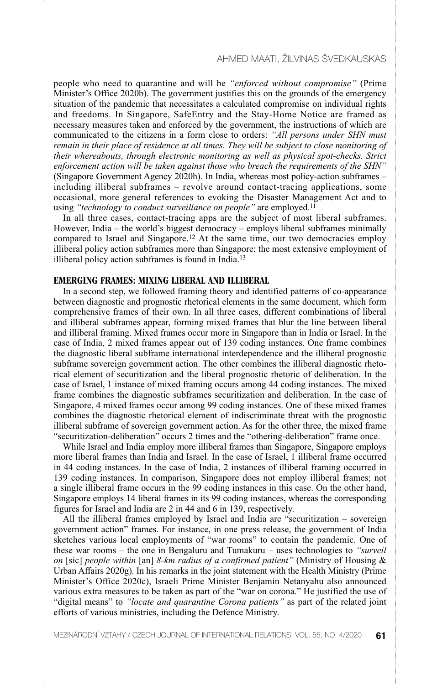people who need to quarantine and will be *"enforced without compromise"* (Prime Minister's Office 2020b). The government justifies this on the grounds of the emergency situation of the pandemic that necessitates a calculated compromise on individual rights and freedoms. In Singapore, SafeEntry and the Stay-Home Notice are framed as necessary measures taken and enforced by the government, the instructions of which are communicated to the citizens in a form close to orders: *"All persons under SHN must remain in their place of residence at all times. They will be subject to close monitoring of their whereabouts, through electronic monitoring as well as physical spot-checks. Strict enforcement action will be taken against those who breach the requirements of the SHN"* (Singapore Government Agency 2020h). In India, whereas most policy-action subframes – including illiberal subframes – revolve around contact-tracing applications, some occasional, more general references to evoking the Disaster Management Act and to using *"technology to conduct surveillance on people"* are employed.11

In all three cases, contact-tracing apps are the subject of most liberal subframes. However, India – the world's biggest democracy – employs liberal subframes minimally compared to Israel and Singapore.<sup>12</sup> At the same time, our two democracies employ illiberal policy action subframes more than Singapore; the most extensive employment of illiberal policy action subframes is found in India.13

#### **EMERGING FRAMES: MIXING LIBERAL AND ILLIBERAL**

In a second step, we followed framing theory and identified patterns of co-appearance between diagnostic and prognostic rhetorical elements in the same document, which form comprehensive frames of their own. In all three cases, different combinations of liberal and illiberal subframes appear, forming mixed frames that blur the line between liberal and illiberal framing. Mixed frames occur more in Singapore than in India or Israel. In the case of India, 2 mixed frames appear out of 139 coding instances. One frame combines the diagnostic liberal subframe international interdependence and the illiberal prognostic subframe sovereign government action. The other combines the illiberal diagnostic rhetorical element of securitization and the liberal prognostic rhetoric of deliberation. In the case of Israel, 1 instance of mixed framing occurs among 44 coding instances. The mixed frame combines the diagnostic subframes securitization and deliberation. In the case of Singapore, 4 mixed frames occur among 99 coding instances. One of these mixed frames combines the diagnostic rhetorical element of indiscriminate threat with the prognostic illiberal subframe of sovereign government action. As for the other three, the mixed frame "securitization-deliberation" occurs 2 times and the "othering-deliberation" frame once.

While Israel and India employ more illiberal frames than Singapore, Singapore employs more liberal frames than India and Israel. In the case of Israel, 1 illiberal frame occurred in 44 coding instances. In the case of India, 2 instances of illiberal framing occurred in 139 coding instances. In comparison, Singapore does not employ illiberal frames; not a single illiberal frame occurs in the 99 coding instances in this case. On the other hand, Singapore employs 14 liberal frames in its 99 coding instances, whereas the corresponding figures for Israel and India are 2 in 44 and 6 in 139, respectively.

All the illiberal frames employed by Israel and India are "securitization – sovereign government action" frames. For instance, in one press release, the government of India sketches various local employments of "war rooms" to contain the pandemic. One of these war rooms – the one in Bengaluru and Tumakuru – uses technologies to *"surveil on* [sic] *people within* [an] *8-km radius of a confirmed patient"* (Ministry of Housing & Urban Affairs 2020g). In his remarks in the joint statement with the Health Ministry (Prime Minister's Office 2020c), Israeli Prime Minister Benjamin Netanyahu also announced various extra measures to be taken as part of the "war on corona." He justified the use of "digital means" to *"locate and quarantine Corona patients"* as part of the related joint efforts of various ministries, including the Defence Ministry.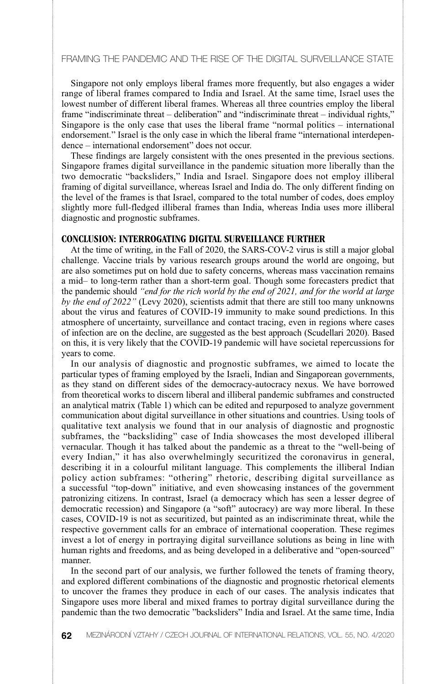Singapore not only employs liberal frames more frequently, but also engages a wider range of liberal frames compared to India and Israel. At the same time, Israel uses the lowest number of different liberal frames. Whereas all three countries employ the liberal frame "indiscriminate threat – deliberation" and "indiscriminate threat – individual rights," Singapore is the only case that uses the liberal frame "normal politics – international endorsement." Israel is the only case in which the liberal frame "international interdependence – international endorsement" does not occur.

These findings are largely consistent with the ones presented in the previous sections. Singapore frames digital surveillance in the pandemic situation more liberally than the two democratic "backsliders," India and Israel. Singapore does not employ illiberal framing of digital surveillance, whereas Israel and India do. The only different finding on the level of the frames is that Israel, compared to the total number of codes, does employ slightly more full-fledged illiberal frames than India, whereas India uses more illiberal diagnostic and prognostic subframes.

#### **CONCLUSION: INTERROGATING DIGITAL SURVEILLANCE FURTHER**

At the time of writing, in the Fall of 2020, the SARS-COV-2 virus is still a major global challenge. Vaccine trials by various research groups around the world are ongoing, but are also sometimes put on hold due to safety concerns, whereas mass vaccination remains a mid– to long-term rather than a short-term goal. Though some forecasters predict that the pandemic should *"end for the rich world by the end of 2021, and for the world at large by the end of 2022"* (Levy 2020), scientists admit that there are still too many unknowns about the virus and features of COVID-19 immunity to make sound predictions. In this atmosphere of uncertainty, surveillance and contact tracing, even in regions where cases of infection are on the decline, are suggested as the best approach (Scudellari 2020). Based on this, it is very likely that the COVID-19 pandemic will have societal repercussions for years to come.

In our analysis of diagnostic and prognostic subframes, we aimed to locate the particular types of framing employed by the Israeli, Indian and Singaporean governments, as they stand on different sides of the democracy-autocracy nexus. We have borrowed from theoretical works to discern liberal and illiberal pandemic subframes and constructed an analytical matrix (Table 1) which can be edited and repurposed to analyze government communication about digital surveillance in other situations and countries. Using tools of qualitative text analysis we found that in our analysis of diagnostic and prognostic subframes, the "backsliding" case of India showcases the most developed illiberal vernacular. Though it has talked about the pandemic as a threat to the "well-being of every Indian," it has also overwhelmingly securitized the coronavirus in general, describing it in a colourful militant language. This complements the illiberal Indian policy action subframes: "othering" rhetoric, describing digital surveillance as a successful "top-down" initiative, and even showcasing instances of the government patronizing citizens. In contrast, Israel (a democracy which has seen a lesser degree of democratic recession) and Singapore (a "soft" autocracy) are way more liberal. In these cases, COVID-19 is not as securitized, but painted as an indiscriminate threat, while the respective government calls for an embrace of international cooperation. These regimes invest a lot of energy in portraying digital surveillance solutions as being in line with human rights and freedoms, and as being developed in a deliberative and "open-sourced" manner.

In the second part of our analysis, we further followed the tenets of framing theory, and explored different combinations of the diagnostic and prognostic rhetorical elements to uncover the frames they produce in each of our cases. The analysis indicates that Singapore uses more liberal and mixed frames to portray digital surveillance during the pandemic than the two democratic "backsliders" India and Israel. At the same time, India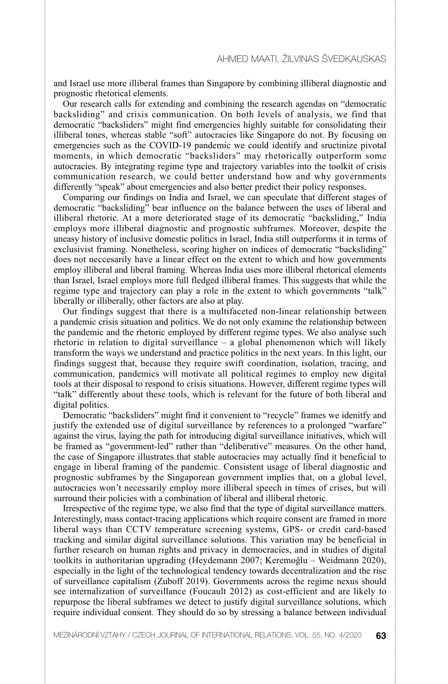and Israel use more illiberal frames than Singapore by combining illiberal diagnostic and prognostic rhetorical elements.

Our research calls for extending and combining the research agendas on "democratic backsliding" and crisis communication. On both levels of analysis, we find that democratic "backsliders" might find emergencies highly suitable for consolidating their illiberal tones, whereas stable "soft" autocracies like Singapore do not. By focusing on emergencies such as the COVID-19 pandemic we could identify and sructinize pivotal moments, in which democratic "backsliders" may rhetorically outperform some autocracies. By integrating regime type and trajectory variables into the toolkit of crisis communication research, we could better understand how and why governments differently "speak" about emergencies and also better predict their policy responses.

Comparing our findings on India and Israel, we can speculate that different stages of democratic "backsliding" bear influence on the balance between the uses of liberal and illiberal rhetoric. At a more deteriorated stage of its democratic "backsliding," India employs more illiberal diagnostic and prognostic subframes. Moreover, despite the uneasy history of inclusive domestic politics in Israel, India still outperforms it in terms of exclusivist framing. Nonetheless, scoring higher on indices of democratic "backsliding" does not neccesarily have a linear effect on the extent to which and how governments employ illiberal and liberal framing. Whereas India uses more illiberal rhetorical elements than Israel, Israel employs more full fledged illiberal frames. This suggests that while the regime type and trajectory can play a role in the extent to which governments "talk" liberally or illiberally, other factors are also at play.

Our findings suggest that there is a multifaceted non-linear relationship between a pandemic crisis situation and politics. We do not only examine the relationship between the pandemic and the rhetoric employed by different regime types. We also analyse such rhetoric in relation to digital surveillance – a global phenomenon which will likely transform the ways we understand and practice politics in the next years. In this light, our findings suggest that, because they require swift coordination, isolation, tracing, and communication, pandemics will motivate all political regimes to employ new digital tools at their disposal to respond to crisis situations. However, different regime types will "talk" differently about these tools, which is relevant for the future of both liberal and digital politics.

Democratic "backsliders" might find it convenient to "recycle" frames we idenitfy and justify the extended use of digital surveillance by references to a prolonged "warfare" against the virus, laying the path for introducing digital surveillance initiatives, which will be framed as "government-led" rather than "deliberative" measures. On the other hand, the case of Singapore illustrates that stable autocracies may actually find it beneficial to engage in liberal framing of the pandemic. Consistent usage of liberal diagnostic and prognostic subframes by the Singaporean government implies that, on a global level, autocracies won't necessarily employ more illiberal speech in times of crises, but will surround their policies with a combination of liberal and illiberal rhetoric.

Irrespective of the regime type, we also find that the type of digital surveillance matters. Interestingly, mass contact-tracing applications which require consent are framed in more liberal ways than CCTV temperature screening systems, GPS- or credit card-based tracking and similar digital surveillance solutions. This variation may be beneficial in further research on human rights and privacy in democracies, and in studies of digital toolkits in authoritarian upgrading (Heydemann 2007: Keremoğlu – Weidmann 2020), especially in the light of the technological tendency towards decentralization and the rise of surveillance capitalism (Zuboff 2019). Governments across the regime nexus should see internalization of surveillance (Foucault 2012) as cost-efficient and are likely to repurpose the liberal subframes we detect to justify digital surveillance solutions, which require individual consent. They should do so by stressing a balance between individual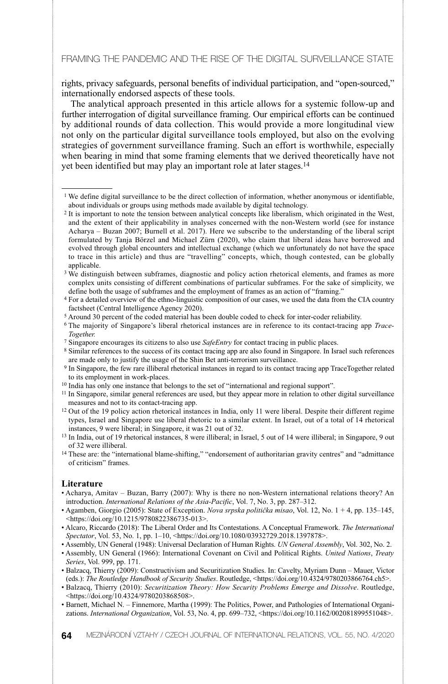rights, privacy safeguards, personal benefits of individual participation, and "open-sourced," internationally endorsed aspects of these tools.

The analytical approach presented in this article allows for a systemic follow-up and further interrogation of digital surveillance framing. Our empirical efforts can be continued by additional rounds of data collection. This would provide a more longitudinal view not only on the particular digital surveillance tools employed, but also on the evolving strategies of government surveillance framing. Such an effort is worthwhile, especially when bearing in mind that some framing elements that we derived theoretically have not yet been identified but may play an important role at later stages.14

- <sup>8</sup> Similar references to the success of its contact tracing app are also found in Singapore. In Israel such references are made only to justify the usage of the Shin Bet anti-terrorism surveillance.
- <sup>9</sup> In Singapore, the few rare illiberal rhetorical instances in regard to its contact tracing app TraceTogether related to its employment in work-places.
- <sup>10</sup> India has only one instance that belongs to the set of "international and regional support".
- <sup>11</sup> In Singapore, similar general references are used, but they appear more in relation to other digital surveillance measures and not to its contact-tracing app.
- <sup>12</sup> Out of the 19 policy action rhetorical instances in India, only 11 were liberal. Despite their different regime types, Israel and Singapore use liberal rhetoric to a similar extent. In Israel, out of a total of 14 rhetorical instances, 9 were liberal; in Singapore, it was 21 out of 32.
- <sup>13</sup> In India, out of 19 rhetorical instances, 8 were illiberal; in Israel, 5 out of 14 were illiberal; in Singapore, 9 out of 32 were illiberal.
- <sup>14</sup> These are: the "international blame-shifting," "endorsement of authoritarian gravity centres" and "admittance of criticism" frames.

#### **Literature**

- Acharya, Amitav Buzan, Barry (2007): Why is there no non-Western international relations theory? An introduction. *International Relations of the Asia-Pacific*, Vol. 7, No. 3, pp. 287–312.
- Agamben, Giorgio (2005): State of Exception. *Nova srpska politička misao*, Vol. 12, No. 1 + 4, pp. 135–145, <https://doi.org/10.1215/9780822386735-013>.
- Alcaro, Riccardo (2018): The Liberal Order and Its Contestations. A Conceptual Framework. *The International Spectator*, Vol. 53, No. 1, pp. 1–10, <https://doi.org/10.1080/03932729.2018.1397878>.
- Assembly, UN General (1948): Universal Declaration of Human Rights. *UN General Assembly*, Vol. 302, No. 2.
- Assembly, UN General (1966): International Covenant on Civil and Political Rights. *United Nations*, *Treaty Series*, Vol. 999, pp. 171.
- Balzacq, Thierry (2009): Constructivism and Securitization Studies. In: Cavelty, Myriam Dunn Mauer, Victor (eds.): *The Routledge Handbook of Security Studies*. Routledge, <https://doi.org/10.4324/9780203866764.ch5>.
- Balzacq, Thierry (2010): *Securitization Theory: How Security Problems Emerge and Dissolve*. Routledge, <https://doi.org/10.4324/9780203868508>.
- Barnett, Michael N. Finnemore, Martha (1999): The Politics, Power, and Pathologies of International Organizations. *International Organization*, Vol. 53, No. 4, pp. 699–732, <https://doi.org/10.1162/002081899551048>.

<sup>&</sup>lt;sup>1</sup> We define digital surveillance to be the direct collection of information, whether anonymous or identifiable. about individuals or groups using methods made available by digital technology.

<sup>2</sup> It is important to note the tension between analytical concepts like liberalism, which originated in the West, and the extent of their applicability in analyses concerned with the non-Western world (see for instance Acharya – Buzan 2007; Burnell et al. 2017). Here we subscribe to the understanding of the liberal script formulated by Tanja Börzel and Michael Zürn (2020), who claim that liberal ideas have borrowed and evolved through global encounters and intellectual exchange (which we unfortunately do not have the space to trace in this article) and thus are "travelling" concepts, which, though contested, can be globally applicable.

<sup>&</sup>lt;sup>3</sup> We distinguish between subframes, diagnostic and policy action rhetorical elements, and frames as more complex units consisting of different combinations of particular subframes. For the sake of simplicity, we define both the usage of subframes and the employment of frames as an action of "framing."

<sup>4</sup> For a detailed overview of the ethno-linguistic composition of our cases, we used the data from the CIA country factsheet (Central Intelligence Agency 2020).

<sup>5</sup> Around 30 percent of the coded material has been double coded to check for inter-coder reliability.

<sup>6</sup> The majority of Singapore's liberal rhetorical instances are in reference to its contact-tracing app *Trace-Together.*

<sup>7</sup> Singapore encourages its citizens to also use *SafeEntry* for contact tracing in public places.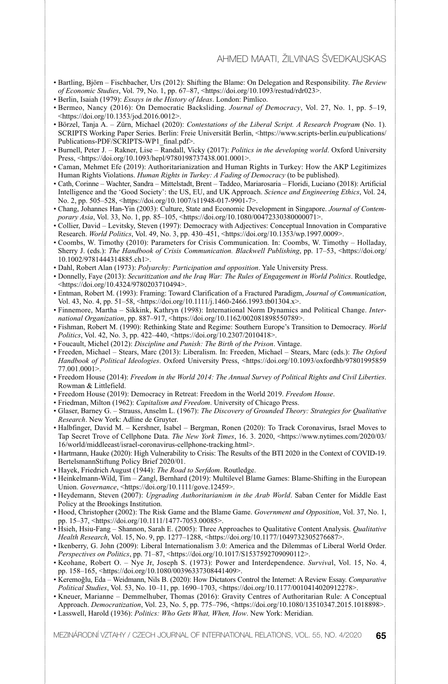- Bartling, Björn Fischbacher, Urs (2012): Shifting the Blame: On Delegation and Responsibility. *The Review of Economic Studies*, Vol. 79, No. 1, pp. 67–87, <https://doi.org/10.1093/restud/rdr023>.
- Berlin, Isaiah (1979): *Essays in the History of Ideas*. London: Pimlico.
- Bermeo, Nancy (2016): On Democratic Backsliding. *Journal of Democracy*, Vol. 27, No. 1, pp. 5–19, <https://doi.org/10.1353/jod.2016.0012>.
- Börzel, Tanja A. Zürn, Michael (2020): *Contestations of the Liberal Script. A Research Program* (No. 1). SCRIPTS Working Paper Series. Berlin: Freie Universität Berlin, <https://www.scripts-berlin.eu/publications/ Publications-PDF/SCRIPTS-WP1\_final.pdf>.
- Burnell, Peter J. Rakner, Lise Randall, Vicky (2017): *Politics in the developing world*. Oxford University Press, <https://doi.org/10.1093/hepl/9780198737438.001.0001>.
- Caman, Mehmet Efe (2019): Authoritarianization and Human Rights in Turkey: How the AKP Legitimizes Human Rights Violations. *Human Rights in Turkey: A Fading of Democracy* (to be published).
- Cath, Corinne Wachter, Sandra Mittelstadt, Brent Taddeo, Mariarosaria Floridi, Luciano (2018): Artificial Intelligence and the 'Good Society': the US, EU, and UK Approach. *Science and Engineering Ethics*, Vol. 24, No. 2, pp. 505–528, <https://doi.org/10.1007/s11948-017-9901-7>.
- Chang, Johannes Han-Yin (2003): Culture, State and Economic Development in Singapore. *Journal of Contemporary Asia*, Vol. 33, No. 1, pp. 85-105, <https://doi.org/10.1080/00472330380000071>.
- Collier, David Levitsky, Steven (1997): Democracy with Adjectives: Conceptual Innovation in Comparative Research. *World Politics*, Vol. 49, No. 3, pp. 430–451, <https://doi.org/10.1353/wp.1997.0009>.
- Coombs, W. Timothy (2010): Parameters for Crisis Communication. In: Coombs, W. Timothy Holladay, Sherry J. (eds.): *The Handbook of Crisis Communication. Blackwell Publishing*, pp. 17–53, <https://doi.org/ 10.1002/9781444314885.ch1>.
- Dahl, Robert Alan (1973): *Polyarchy: Participation and opposition*. Yale University Press.
- Donnelly, Faye (2013): *Securitization and the Iraq War: The Rules of Engagement in World Politics*. Routledge, <https://doi.org/10.4324/9780203710494>.
- Entman, Robert M. (1993): Framing: Toward Clarification of a Fractured Paradigm, *Journal of Communication*, Vol. 43, No. 4, pp. 51–58, <https://doi.org/10.1111/j.1460-2466.1993.tb01304.x>.
- Finnemore, Martha Sikkink, Kathryn (1998): International Norm Dynamics and Political Change. *International Organization*, pp. 887–917, <https://doi.org/10.1162/002081898550789>.
- Fishman, Robert M. (1990): Rethinking State and Regime: Southern Europe's Transition to Democracy. *World Politics*, Vol. 42, No. 3, pp. 422–440, <https://doi.org/10.2307/2010418>.
- Foucault, Michel (2012): *Discipline and Punish: The Birth of the Prison*. Vintage.
- Freeden, Michael Stears, Marc (2013): Liberalism. In: Freeden, Michael Stears, Marc (eds.): *The Oxford* Handbook of Political Ideologies. Oxford University Press, <https://doi.org/10.1093/oxfordhb/97801995859 77.001.0001>.
- Freedom House (2014): *Freedom in the World 2014: The Annual Survey of Political Rights and Civil Liberties*. Rowman & Littlefield.
- Freedom House (2019): Democracy in Retreat: Freedom in the World 2019. *Freedom House*.
- Friedman, Milton (1962): *Capitalism and Freedom*. University of Chicago Press.
- Glaser, Barney G. Strauss, Anselm L. (1967): *The Discovery of Grounded Theory: Strategies for Qualitative Research*. New York: Adline de Gruyter.
- Halbfinger, David M. Kershner, Isabel Bergman, Ronen (2020): To Track Coronavirus, Israel Moves to Tap Secret Trove of Cellphone Data. *The New York Times*, 16. 3. 2020, <https://www.nytimes.com/2020/03/ 16/world/middleeast/israel-coronavirus-cellphone-tracking.html>.
- Hartmann, Hauke (2020): High Vulnerability to Crisis: The Results of the BTI 2020 in the Context of COVID-19. BertelsmannStiftung Policy Brief 2020/01.
- Hayek, Friedrich August (1944): *The Road to Serfdom*. Routledge.
- Heinkelmann-Wild, Tim Zangl, Bernhard (2019): Multilevel Blame Games: Blame-Shifting in the European Union. *Governance*, <https://doi.org/10.1111/gove.12459>.
- Heydemann, Steven (2007): *Upgrading Authoritarianism in the Arab World*. Saban Center for Middle East Policy at the Brookings Institution.
- Hood, Christopher (2002): The Risk Game and the Blame Game. *Government and Opposition*, Vol. 37, No. 1, pp. 15–37, <https://doi.org/10.1111/1477-7053.00085>.
- Hsieh, Hsiu-Fang Shannon, Sarah E. (2005): Three Approaches to Qualitative Content Analysis. *Qualitative Health Research*, Vol. 15, No. 9, pp. 1277-1288, <https://doi.org/10.1177/1049732305276687>
- Ikenberry, G. John (2009): Liberal Internationalism 3.0: America and the Dilemmas of Liberal World Order. *Perspectives on Politics*, pp. 71–87, <https://doi.org/10.1017/S1537592709090112>.
- Keohane, Robert O. Nye Jr, Joseph S. (1973): Power and Interdependence. *Surviva*l, Vol. 15, No. 4, pp. 158–165, <https://doi.org/10.1080/00396337308441409>.
- Keremog˘lu, Eda Weidmann, Nils B. (2020): How Dictators Control the Internet: A Review Essay. *Comparative Political Studies*, Vol. 53, No. 10–11, pp. 1690–1703, <https://doi.org/10.1177/0010414020912278>.
- Kneuer, Marianne Demmelhuber, Thomas (2016): Gravity Centres of Authoritarian Rule: A Conceptual Approach. *Democratization*, Vol. 23, No. 5, pp. 775-796, <https://doi.org/10.1080/13510347.2015.1018898>.
- Lasswell, Harold (1936): *Politics: Who Gets What, When, How*. New York: Meridian.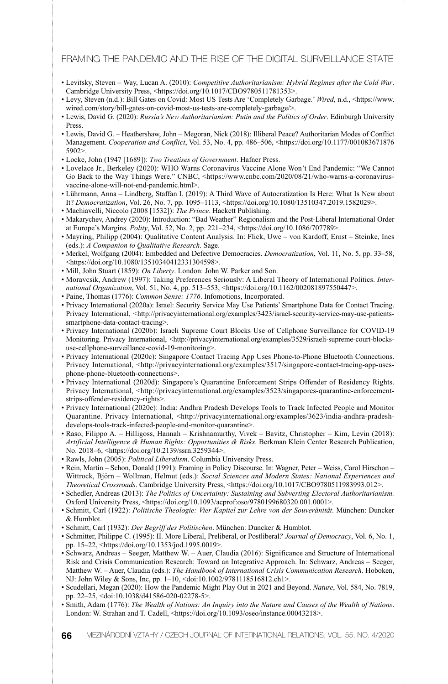- Levitsky, Steven Way, Lucan A. (2010): *Competitive Authoritarianism: Hybrid Regimes after the Cold War*. Cambridge University Press, <https://doi.org/10.1017/CBO9780511781353>.
- Levy, Steven (n.d.): Bill Gates on Covid: Most US Tests Are 'Completely Garbage.' *Wired*, n.d., <https://www. wired.com/story/bill-gates-on-covid-most-us-tests-are-completely-garbage/>.
- Lewis, David G. (2020): *Russia's New Authoritarianism: Putin and the Politics of Order*. Edinburgh University Press.
- Lewis, David G. Heathershaw, John Megoran, Nick (2018): Illiberal Peace? Authoritarian Modes of Conflict Management. *Cooperation and Conflict*, Vol. 53, No. 4, pp. 486–506, <https://doi.org/10.1177/001083671876 5902>.
- Locke, John (1947 [1689]): *Two Treatises of Government*. Hafner Press.
- Lovelace Jr., Berkeley (2020): WHO Warns Coronavirus Vaccine Alone Won't End Pandemic: "We Cannot Go Back to the Way Things Were." CNBC, <https://www.cnbc.com/2020/08/21/who-warns-a-coronavirusvaccine-alone-will-not-end-pandemic.html>.
- Lührmann, Anna Lindberg, Staffan I. (2019): A Third Wave of Autocratization Is Here: What Is New about It? *Democratization*, Vol. 26, No. 7, pp. 1095–1113, <https://doi.org/10.1080/13510347.2019.1582029>.
- Machiavelli, Niccolo (2008 [1532]): *The Prince*. Hackett Publishing. • Makarychev, Andrey (2020): Introduction: "Bad Weather" Regionalism and the Post-Liberal International Order at Europe's Margins. *Polity*, Vol. 52, No. 2, pp. 221–234, <https://doi.org/10.1086/707789>.
- Mayring, Philipp (2004): Qualitative Content Analysis. In: Flick, Uwe von Kardoff, Ernst Steinke, Ines (eds.): *A Companion to Qualitative Research*. Sage.
- Merkel, Wolfgang (2004): Embedded and Defective Democracies. *Democratization*, Vol. 11, No. 5, pp. 33–58, <https://doi.org/10.1080/13510340412331304598>.
- Mill, John Stuart (1859): *On Liberty*. London: John W. Parker and Son.
- Moravcsik, Andrew (1997): Taking Preferences Seriously: A Liberal Theory of International Politics. *International Organization*, Vol. 51, No. 4, pp. 513–553, <https://doi.org/10.1162/002081897550447>.
- Paine, Thomas (1776): *Common Sense: 1776*. Infomotions, Incorporated.
- Privacy International (2020a): Israel: Security Service May Use Patients' Smartphone Data for Contact Tracing. Privacy International, <http://privacyinternational.org/examples/3423/israel-security-service-may-use-patientssmartphone-data-contact-tracing>.
- Privacy International (2020b): Israeli Supreme Court Blocks Use of Cellphone Surveillance for COVID-19 Monitoring. Privacy International, <http://privacyinternational.org/examples/3529/israeli-supreme-court-blocksuse-cellphone-surveillance-covid-19-monitoring>.
- Privacy International (2020c): Singapore Contact Tracing App Uses Phone-to-Phone Bluetooth Connections. Privacy International, <http://privacyinternational.org/examples/3517/singapore-contact-tracing-app-usesphone-phone-bluetooth-connections>.
- Privacy International (2020d): Singapore's Quarantine Enforcement Strips Offender of Residency Rights. Privacy International, <http://privacyinternational.org/examples/3523/singapores-quarantine-enforcementstrips-offender-residency-rights>.
- Privacy International (2020e): India: Andhra Pradesh Develops Tools to Track Infected People and Monitor Quarantine. Privacy International, <http://privacyinternational.org/examples/3623/india-andhra-pradeshdevelops-tools-track-infected-people-and-monitor-quarantine>.
- Raso, Filippo A. Hilligoss, Hannah Krishnamurthy, Vivek Bavitz, Christopher Kim, Levin (2018): *Artificial Intelligence & Human Rights: Opportunities & Risks*. Berkman Klein Center Research Publication, No. 2018–6, <https://doi.org/10.2139/ssrn.3259344>.
- Rawls, John (2005): *Political Liberalism*. Columbia University Press.
- Rein, Martin Schon, Donald (1991): Framing in Policy Discourse. In: Wagner, Peter Weiss, Carol Hirschon Wittrock, Björn – Wollman, Helmut (eds.): *Social Sciences and Modern States: National Experiences and Theoretical Crossroads*. Cambridge University Press, <https://doi.org/10.1017/CBO9780511983993.012>.
- Schedler, Andreas (2013): *The Politics of Uncertainty: Sustaining and Subverting Electoral Authoritarianism.* Oxford University Press, <https://doi.org/10.1093/acprof:oso/9780199680320.001.0001>.
- Schmitt, Carl (1922): *Politische Theologie: Vier Kapitel zur Lehre von der Souveränität*. München: Duncker & Humblot.
- Schmitt, Carl (1932): *Der Begriff des Politischen*. München: Duncker & Humblot.
- Schmitter, Philippe C. (1995): II. More Liberal, Preliberal, or Postliberal*? Journal of Democracy*, Vol. 6, No. 1, pp. 15–22, <https://doi.org/10.1353/jod.1995.0019>.
- Schwarz, Andreas Seeger, Matthew W. Auer, Claudia (2016): Significance and Structure of International Risk and Crisis Communication Research: Toward an Integrative Approach. In: Schwarz, Andreas – Seeger, Matthew W. – Auer, Claudia (eds.): *The Handbook of International Crisis Communication Research*. Hoboken, NJ: John Wiley & Sons, Inc, pp. 1–10, <doi:10.1002/9781118516812.ch1>.
- Scudellari, Megan (2020): How the Pandemic Might Play Out in 2021 and Beyond. *Nature*, Vol. 584, No. 7819, pp. 22–25, <doi:10.1038/d41586-020-02278-5>.
- Smith, Adam (1776): *The Wealth of Nations: An Inquiry into the Nature and Causes of the Wealth of Nations*. London: W. Strahan and T. Cadell, <https://doi.org/10.1093/oseo/instance.00043218>.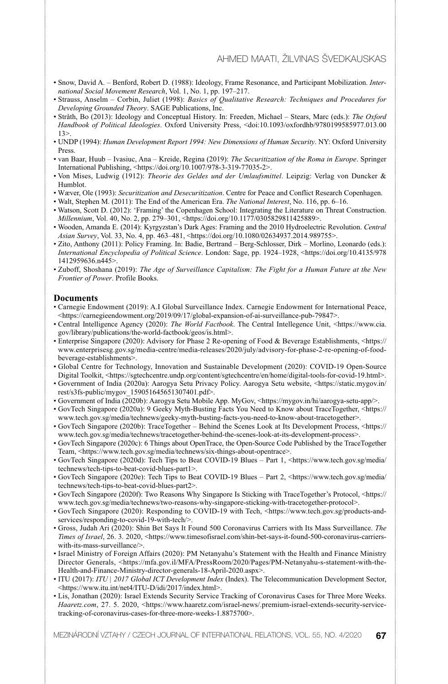- Snow, David A. Benford, Robert D. (1988): Ideology, Frame Resonance, and Participant Mobilization. *International Social Movement Research*, Vol. 1, No. 1, pp. 197–217.
- Strauss, Anselm Corbin, Juliet (1998): *Basics of Qualitative Research: Techniques and Procedures for Developing Grounded Theory*. SAGE Publications, Inc.
- Stråth, Bo (2013): Ideology and Conceptual History. In: Freeden, Michael Stears, Marc (eds.): *The Oxford Handbook of Political Ideologies*. Oxford University Press, <doi:10.1093/oxfordhb/9780199585977.013.00  $13>$
- UNDP (1994): *Human Development Report 1994: New Dimensions of Human Security*. NY: Oxford University Press.
- van Baar, Huub Ivasiuc, Ana Kreide, Regina (2019): *The Securitization of the Roma in Europe*. Springer International Publishing, <https://doi.org/10.1007/978-3-319-77035-2>.
- Von Mises, Ludwig (1912): *Theorie des Geldes und der Umlaufsmittel*. Leipzig: Verlag von Duncker & Humblot.
- Wæver, Ole (1993): *Securitization and Desecuritization*. Centre for Peace and Conflict Research Copenhagen.
- Walt, Stephen M. (2011): The End of the American Era. *The National Interest*, No. 116, pp. 6–16.
- Watson, Scott D. (2012): 'Framing' the Copenhagen School: Integrating the Literature on Threat Construction. *Millennium*, Vol. 40, No. 2, pp. 279–301, <https://doi.org/10.1177/0305829811425889>.
- Wooden, Amanda E. (2014): Kyrgyzstan's Dark Ages: Framing and the 2010 Hydroelectric Revolution. *Central Asian Survey*, Vol. 33, No. 4, pp. 463–481, <https://doi.org/10.1080/02634937.2014.989755>.
- Zito, Anthony (2011): Policy Framing. In: Badie, Bertrand Berg-Schlosser, Dirk Morlino, Leonardo (eds.): *International Encyclopedia of Political Science*. London: Sage, pp. 1924–1928, <https://doi.org/10.4135/978 1412959636.n445>.
- Zuboff, Shoshana (2019): *The Age of Surveillance Capitalism: The Fight for a Human Future at the New Frontier of Power*. Profile Books.

#### **Documents**

- Carnegie Endowment (2019): A.I Global Surveillance Index. Carnegie Endowment for International Peace, <https://carnegieendowment.org/2019/09/17/global-expansion-of-ai-surveillance-pub-79847>.
- Central Intelligence Agency (2020): *The World Factbook*. The Central Intellegence Unit, <https://www.cia. gov/library/publications/the-world-factbook/geos/is.html>.
- Enterprise Singapore (2020): Advisory for Phase 2 Re-opening of Food & Beverage Establishments, <https:// www.enterprisesg.gov.sg/media-centre/media-releases/2020/july/advisory-for-phase-2-re-opening-of-foodbeverage-establishments>.
- Global Centre for Technology, Innovation and Sustainable Development (2020): COVID-19 Open-Source Digital Toolkit, <https://sgtechcentre.undp.org/content/sgtechcentre/en/home/digital-tools-for-covid-19.html>.
- Government of India (2020a): Aarogya Setu Privacy Policy. Aarogya Setu website, <https://static.mygov.in/ rest/s3fs-public/mygov\_159051645651307401.pdf>.
- Government of India (2020b): Aarogya Setu Mobile App. MyGov, <https://mygov.in/hi/aarogya-setu-app/>.
- GovTech Singapore (2020a): 9 Geeky Myth-Busting Facts You Need to Know about TraceTogether, <https:// www.tech.gov.sg/media/technews/geeky-myth-busting-facts-you-need-to-know-about-tracetogether>.
- GovTech Singapore (2020b): TraceTogether Behind the Scenes Look at Its Development Process, <https:// www.tech.gov.sg/media/technews/tracetogether-behind-the-scenes-look-at-its-development-process>.
- GovTech Singapore (2020c): 6 Things about OpenTrace, the Open-Source Code Published by the TraceTogether Team, <https://www.tech.gov.sg/media/technews/six-things-about-opentrace>.
- GovTech Singapore (2020d): Tech Tips to Beat COVID-19 Blues Part 1, <https://www.tech.gov.sg/media/ technews/tech-tips-to-beat-covid-blues-part1>.
- GovTech Singapore (2020e): Tech Tips to Beat COVID-19 Blues Part 2, <https://www.tech.gov.sg/media/ technews/tech-tips-to-beat-covid-blues-part2>.
- GovTech Singapore (2020f): Two Reasons Why Singapore Is Sticking with TraceTogether's Protocol, <https:// www.tech.gov.sg/media/technews/two-reasons-why-singapore-sticking-with-tracetogether-protocol>.
- GovTech Singapore (2020): Responding to COVID-19 with Tech, <https://www.tech.gov.sg/products-andservices/responding-to-covid-19-with-tech/>.
- Gross, Judah Ari (2020): Shin Bet Says It Found 500 Coronavirus Carriers with Its Mass Surveillance. *The Times of Israel*, 26. 3. 2020, <https://www.timesofisrael.com/shin-bet-says-it-found-500-coronavirus-carrierswith-its-mass-surveillance/>.
- Israel Ministry of Foreign Affairs (2020): PM Netanyahu's Statement with the Health and Finance Ministry Director Generals, <https://mfa.gov.il/MFA/PressRoom/2020/Pages/PM-Netanyahu-s-statement-with-the-Health-and-Finance-Ministry-director-generals-18-April-2020.aspx>.
- ITU (2017): *ITU | 2017 Global ICT Development Index* (Index). The Telecommunication Development Sector, <https://www.itu.int/net4/ITU-D/idi/2017/index.html>.
- Lis, Jonathan (2020): Israel Extends Security Service Tracking of Coronavirus Cases for Three More Weeks. *Haaretz.com*, 27. 5. 2020, <https://www.haaretz.com/israel-news/.premium-israel-extends-security-servicetracking-of-coronavirus-cases-for-three-more-weeks-1.8875700>.

MEZINÁRODNÍ VZTAHY / CZECH JOURNAL OF INTERNATIONAL RELATIONS, VOL. 55, NO. 4/2020 **67**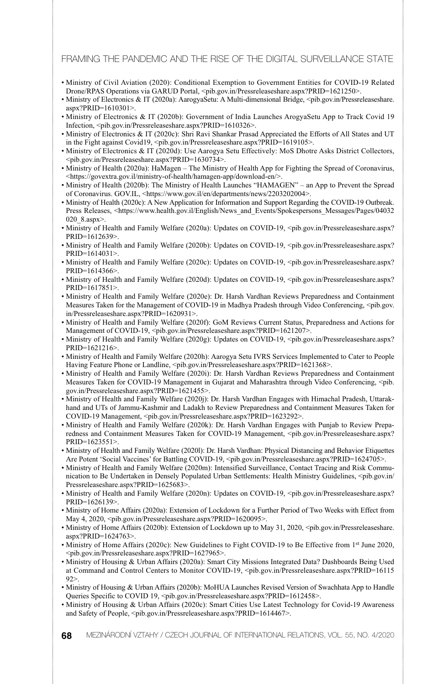- Ministry of Civil Aviation (2020): Conditional Exemption to Government Entities for COVID-19 Related Drone/RPAS Operations via GARUD Portal, <pib.gov.in/Pressreleaseshare.aspx?PRID=1621250>.
- Ministry of Electronics & IT (2020a): AarogyaSetu: A Multi-dimensional Bridge, <pib.gov.in/Pressreleaseshare. aspx?PRID=1610301>.
- Ministry of Electronics & IT (2020b): Government of India Launches ArogyaSetu App to Track Covid 19 Infection, <pib.gov.in/Pressreleaseshare.aspx?PRID=1610326>.
- Ministry of Electronics & IT (2020c): Shri Ravi Shankar Prasad Appreciated the Efforts of All States and UT in the Fight against Covid19, <pib.gov.in/Pressreleaseshare.aspx?PRID=1619105>.
- Ministry of Electronics & IT (2020d): Use Aarogya Setu Effectively: MoS Dhotre Asks District Collectors, <pib.gov.in/Pressreleaseshare.aspx?PRID=1630734>.
- Ministry of Health (2020a): HaMagen The Ministry of Health App for Fighting the Spread of Coronavirus, <https://govextra.gov.il/ministry-of-health/hamagen-app/download-en/>.
- Ministry of Health (2020b): The Ministry of Health Launches "HAMAGEN" an App to Prevent the Spread of Coronavirus. GOV.IL, <https://www.gov.il/en/departments/news/2203202004>.
- Ministry of Health (2020c): A New Application for Information and Support Regarding the COVID-19 Outbreak. Press Releases, <https://www.health.gov.il/English/News\_and\_Events/Spokespersons\_Messages/Pages/04032 020\_8.aspx>.
- Ministry of Health and Family Welfare (2020a): Updates on COVID-19, <pib.gov.in/Pressreleaseshare.aspx? PRID=1612639>.
- Ministry of Health and Family Welfare (2020b): Updates on COVID-19, <pib.gov.in/Pressreleaseshare.aspx? PRID=1614031>.
- Ministry of Health and Family Welfare (2020c): Updates on COVID-19, <pib.gov.in/Pressreleaseshare.aspx? PRID=1614366>.
- Ministry of Health and Family Welfare (2020d): Updates on COVID-19, <pib.gov.in/Pressreleaseshare.aspx? PRID=1617851>.
- Ministry of Health and Family Welfare (2020e): Dr. Harsh Vardhan Reviews Preparedness and Containment Measures Taken for the Management of COVID-19 in Madhya Pradesh through Video Conferencing, <pib.gov. in/Pressreleaseshare.aspx?PRID=1620931>.
- Ministry of Health and Family Welfare (2020f): GoM Reviews Current Status, Preparedness and Actions for Management of COVID-19, <pib.gov.in/Pressreleaseshare.aspx?PRID=1621207>.
- Ministry of Health and Family Welfare (2020g): Updates on COVID-19, <pib.gov.in/Pressreleaseshare.aspx? PRID=1621216>.
- Ministry of Health and Family Welfare (2020h): Aarogya Setu IVRS Services Implemented to Cater to People Having Feature Phone or Landline, <pib.gov.in/Pressreleaseshare.aspx?PRID=1621368>.
- Ministry of Health and Family Welfare (2020i): Dr. Harsh Vardhan Reviews Preparedness and Containment Measures Taken for COVID-19 Management in Gujarat and Maharashtra through Video Conferencing, <pib. gov.in/Pressreleaseshare.aspx?PRID=1621455>.
- Ministry of Health and Family Welfare (2020j): Dr. Harsh Vardhan Engages with Himachal Pradesh, Uttarakhand and UTs of Jammu-Kashmir and Ladakh to Review Preparedness and Containment Measures Taken for COVID-19 Management, <pib.gov.in/Pressreleaseshare.aspx?PRID=1623292>.
- Ministry of Health and Family Welfare (2020k): Dr. Harsh Vardhan Engages with Punjab to Review Preparedness and Containment Measures Taken for COVID-19 Management, <pib.gov.in/Pressreleaseshare.aspx? PRID=1623551>.
- Ministry of Health and Family Welfare (2020l): Dr. Harsh Vardhan: Physical Distancing and Behavior Etiquettes Are Potent 'Social Vaccines' for Battling COVID-19, <pib.gov.in/Pressreleaseshare.aspx?PRID=1624705>.
- Ministry of Health and Family Welfare (2020m): Intensified Surveillance, Contact Tracing and Risk Communication to Be Undertaken in Densely Populated Urban Settlements: Health Ministry Guidelines, <pib.gov.in/ Pressreleaseshare.aspx?PRID=1625683>.
- Ministry of Health and Family Welfare (2020n): Updates on COVID-19, <pib.gov.in/Pressreleaseshare.aspx? PRID=1626139>.
- Ministry of Home Affairs (2020a): Extension of Lockdown for a Further Period of Two Weeks with Effect from May 4, 2020, <pib.gov.in/Pressreleaseshare.aspx?PRID=1620095>.
- Ministry of Home Affairs (2020b): Extension of Lockdown up to May 31, 2020, <pib.gov.in/Pressreleaseshare. aspx?PRID=1624763>.
- Ministry of Home Affairs (2020c): New Guidelines to Fight COVID-19 to Be Effective from 1st June 2020, <pib.gov.in/Pressreleaseshare.aspx?PRID=1627965>.
- Ministry of Housing & Urban Affairs (2020a): Smart City Missions Integrated Data? Dashboards Being Used at Command and Control Centers to Monitor COVID-19, <pib.gov.in/Pressreleaseshare.aspx?PRID=16115 92>.
- Ministry of Housing & Urban Affairs (2020b): MoHUA Launches Revised Version of Swachhata App to Handle Queries Specific to COVID 19, <pib.gov.in/Pressreleaseshare.aspx?PRID=1612458>.
- Ministry of Housing & Urban Affairs (2020c): Smart Cities Use Latest Technology for Covid-19 Awareness and Safety of People, <pib.gov.in/Pressreleaseshare.aspx?PRID=1614467>.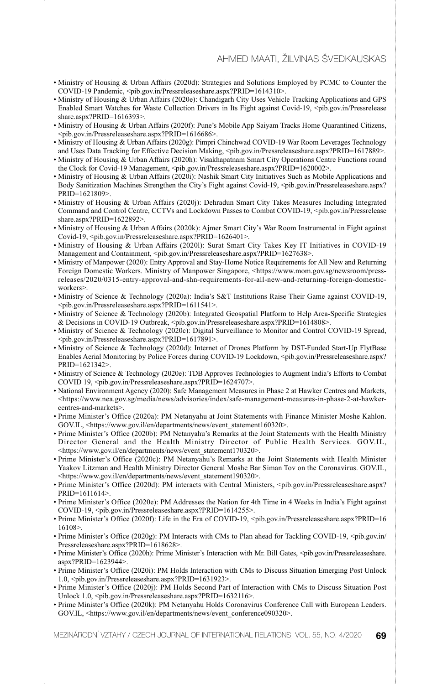- Ministry of Housing & Urban Affairs (2020d): Strategies and Solutions Employed by PCMC to Counter the COVID-19 Pandemic, <pib.gov.in/Pressreleaseshare.aspx?PRID=1614310>.
- Ministry of Housing & Urban Affairs (2020e): Chandigarh City Uses Vehicle Tracking Applications and GPS Enabled Smart Watches for Waste Collection Drivers in Its Fight against Covid-19, <pib.gov.in/Pressrelease share.aspx?PRID=1616393>.
- Ministry of Housing & Urban Affairs (2020f): Pune's Mobile App Saiyam Tracks Home Quarantined Citizens, <pib.gov.in/Pressreleaseshare.aspx?PRID=1616686>.
- Ministry of Housing & Urban Affairs (2020g): Pimpri Chinchwad COVID-19 War Room Leverages Technology and Uses Data Tracking for Effective Decision Making, <pib.gov.in/Pressreleaseshare.aspx?PRID=1617889>.
- Ministry of Housing & Urban Affairs (2020h): Visakhapatnam Smart City Operations Centre Functions round the Clock for Covid-19 Management, <pib.gov.in/Pressreleaseshare.aspx?PRID=1620002>.
- Ministry of Housing & Urban Affairs (2020i): Nashik Smart City Initiatives Such as Mobile Applications and Body Sanitization Machines Strengthen the City's Fight against Covid-19, <pib.gov.in/Pressreleaseshare.aspx? PRID=1621809>.
- Ministry of Housing & Urban Affairs (2020j): Dehradun Smart City Takes Measures Including Integrated Command and Control Centre, CCTVs and Lockdown Passes to Combat COVID-19, <pib.gov.in/Pressrelease share.aspx?PRID=1622892>.
- Ministry of Housing & Urban Affairs (2020k): Ajmer Smart City's War Room Instrumental in Fight against Covid-19, <pib.gov.in/Pressreleaseshare.aspx?PRID=1626401>.
- Ministry of Housing & Urban Affairs (2020l): Surat Smart City Takes Key IT Initiatives in COVID-19 Management and Containment, <pib.gov.in/Pressreleaseshare.aspx?PRID=1627638>.
- Ministry of Manpower (2020): Entry Approval and Stay-Home Notice Requirements for All New and Returning Foreign Domestic Workers. Ministry of Manpower Singapore, <https://www.mom.gov.sg/newsroom/pressreleases/2020/0315-entry-approval-and-shn-requirements-for-all-new-and-returning-foreign-domesticworkers>.
- Ministry of Science & Technology (2020a): India's S&T Institutions Raise Their Game against COVID-19, <pib.gov.in/Pressreleaseshare.aspx?PRID=1611541>.
- Ministry of Science & Technology (2020b): Integrated Geospatial Platform to Help Area-Specific Strategies & Decisions in COVID-19 Outbreak, <pib.gov.in/Pressreleaseshare.aspx?PRID=1614808>.
- Ministry of Science & Technology (2020c): Digital Surveillance to Monitor and Control COVID-19 Spread, <pib.gov.in/Pressreleaseshare.aspx?PRID=1617891>.
- Ministry of Science & Technology (2020d): Internet of Drones Platform by DST-Funded Start-Up FlytBase Enables Aerial Monitoring by Police Forces during COVID-19 Lockdown, <pib.gov.in/Pressreleaseshare.aspx? PRID=1621342>.
- Ministry of Science & Technology (2020e): TDB Approves Technologies to Augment India's Efforts to Combat COVID 19, <pib.gov.in/Pressreleaseshare.aspx?PRID=1624707>.
- National Environment Agency (2020): Safe Management Measures in Phase 2 at Hawker Centres and Markets, <https://www.nea.gov.sg/media/news/advisories/index/safe-management-measures-in-phase-2-at-hawkercentres-and-markets>.
- Prime Minister's Office (2020a): PM Netanyahu at Joint Statements with Finance Minister Moshe Kahlon. GOV.IL, <https://www.gov.il/en/departments/news/event\_statement160320>.
- Prime Minister's Office (2020b): PM Netanyahu's Remarks at the Joint Statements with the Health Ministry Director General and the Health Ministry Director of Public Health Services. GOV.IL, <https://www.gov.il/en/departments/news/event\_statement170320>.
- Prime Minister's Office (2020c): PM Netanyahu's Remarks at the Joint Statements with Health Minister Yaakov Litzman and Health Ministry Director General Moshe Bar Siman Tov on the Coronavirus. GOV.IL, <https://www.gov.il/en/departments/news/event\_statement190320>.
- Prime Minister's Office (2020d): PM interacts with Central Ministers, <pib.gov.in/Pressreleaseshare.aspx? PRID=1611614>.
- Prime Minister's Office (2020e): PM Addresses the Nation for 4th Time in 4 Weeks in India's Fight against COVID-19, <pib.gov.in/Pressreleaseshare.aspx?PRID=1614255>.
- Prime Minister's Office (2020f): Life in the Era of COVID-19, <pib.gov.in/Pressreleaseshare.aspx?PRID=16 16108>.
- Prime Minister's Office (2020g): PM Interacts with CMs to Plan ahead for Tackling COVID-19, <pib.gov.in/ Pressreleaseshare.aspx?PRID=1618628>.
- Prime Minister's Office (2020h): Prime Minister's Interaction with Mr. Bill Gates, <pib.gov.in/Pressreleaseshare. aspx?PRID=1623944>.
- Prime Minister's Office (2020i): PM Holds Interaction with CMs to Discuss Situation Emerging Post Unlock 1.0, <pib.gov.in/Pressreleaseshare.aspx?PRID=1631923>.
- Prime Minister's Office (2020j): PM Holds Second Part of Interaction with CMs to Discuss Situation Post Unlock 1.0, <pib.gov.in/Pressreleaseshare.aspx?PRID=1632116>.
- Prime Minister's Office (2020k): PM Netanyahu Holds Coronavirus Conference Call with European Leaders. GOV.IL, <https://www.gov.il/en/departments/news/event\_conference090320>.

MEZINÁRODNÍ VZTAHY / CZECH JOURNAL OF INTERNATIONAL RELATIONS, VOL. 55, NO. 4/2020 **69**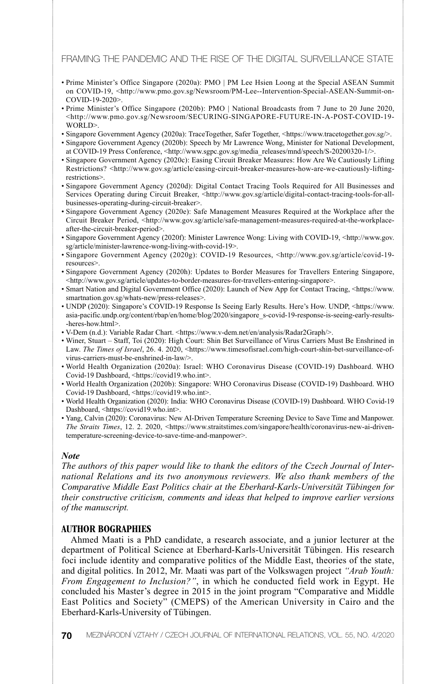- Prime Minister's Office Singapore (2020a): PMO | PM Lee Hsien Loong at the Special ASEAN Summit on COVID-19, <http://www.pmo.gov.sg/Newsroom/PM-Lee--Intervention-Special-ASEAN-Summit-on-COVID-19-2020>.
- Prime Minister's Office Singapore (2020b): PMO | National Broadcasts from 7 June to 20 June 2020, <http://www.pmo.gov.sg/Newsroom/SECURING-SINGAPORE-FUTURE-IN-A-POST-COVID-19- WORLD>
- Singapore Government Agency (2020a): TraceTogether, Safer Together, <https://www.tracetogether.gov.sg/>.
- Singapore Government Agency (2020b): Speech by Mr Lawrence Wong, Minister for National Development, at COVID-19 Press Conference, <http://www.sgpc.gov.sg/media\_releases/mnd/speech/S-20200320-1/>.
- Singapore Government Agency (2020c): Easing Circuit Breaker Measures: How Are We Cautiously Lifting Restrictions? <http://www.gov.sg/article/easing-circuit-breaker-measures-how-are-we-cautiously-liftingrestrictions>.
- Singapore Government Agency (2020d): Digital Contact Tracing Tools Required for All Businesses and Services Operating during Circuit Breaker, <http://www.gov.sg/article/digital-contact-tracing-tools-for-allbusinesses-operating-during-circuit-breaker>.
- Singapore Government Agency (2020e): Safe Management Measures Required at the Workplace after the Circuit Breaker Period, <http://www.gov.sg/article/safe-management-measures-required-at-the-workplaceafter-the-circuit-breaker-period>.
- Singapore Government Agency (2020f): Minister Lawrence Wong: Living with COVID-19, <http://www.gov. sg/article/minister-lawrence-wong-living-with-covid-19>.
- Singapore Government Agency (2020g): COVID-19 Resources, <http://www.gov.sg/article/covid-19 resources>.
- Singapore Government Agency (2020h): Updates to Border Measures for Travellers Entering Singapore, <http://www.gov.sg/article/updates-to-border-measures-for-travellers-entering-singapore>.
- Smart Nation and Digital Government Office (2020): Launch of New App for Contact Tracing, <https://www. smartnation.gov.sg/whats-new/press-releases>.
- UNDP (2020): Singapore's COVID-19 Response Is Seeing Early Results. Here's How. UNDP, <https://www. asia-pacific.undp.org/content/rbap/en/home/blog/2020/singapore\_s-covid-19-response-is-seeing-early-results- -heres-how.html>.
- V-Dem (n.d.): Variable Radar Chart. <https://www.v-dem.net/en/analysis/Radar2Graph/>.
- Winer, Stuart Staff, Toi (2020): High Court: Shin Bet Surveillance of Virus Carriers Must Be Enshrined in Law. The Times of Israel, 26. 4. 2020, <https://www.timesofisrael.com/high-court-shin-bet-surveillance-ofvirus-carriers-must-be-enshrined-in-law/>.
- World Health Organization (2020a): Israel: WHO Coronavirus Disease (COVID-19) Dashboard. WHO Covid-19 Dashboard, <https://covid19.who.int>.
- World Health Organization (2020b): Singapore: WHO Coronavirus Disease (COVID-19) Dashboard. WHO Covid-19 Dashboard, <https://covid19.who.int>.
- World Health Organization (2020): India: WHO Coronavirus Disease (COVID-19) Dashboard. WHO Covid-19 Dashboard, <https://covid19.who.int>.
- Yang, Calvin (2020): Coronavirus: New AI-Driven Temperature Screening Device to Save Time and Manpower. *The Straits Times*, 12. 2. 2020, <https://www.straitstimes.com/singapore/health/coronavirus-new-ai-driventemperature-screening-device-to-save-time-and-manpower>.

#### *Note*

*The authors of this paper would like to thank the editors of the Czech Journal of International Relations and its two anonymous reviewers. We also thank members of the Comparative Middle East Politics chair at the Eberhard-Karls-Universität Tübingen for their constructive criticism, comments and ideas that helped to improve earlier versions of the manuscript.*

## **AUTHOR BOGRAPHIES**

Ahmed Maati is a PhD candidate, a research associate, and a junior lecturer at the department of Political Science at Eberhard-Karls-Universität Tübingen. His research foci include identity and comparative politics of the Middle East, theories of the state, and digital politics. In 2012, Mr. Maati was part of the Volkswagen project *"Arab Youth: From Engagement to Inclusion?"*, in which he conducted field work in Egypt. He concluded his Master's degree in 2015 in the joint program "Comparative and Middle East Politics and Society" (CMEPS) of the American University in Cairo and the Eberhard-Karls-University of Tübingen.